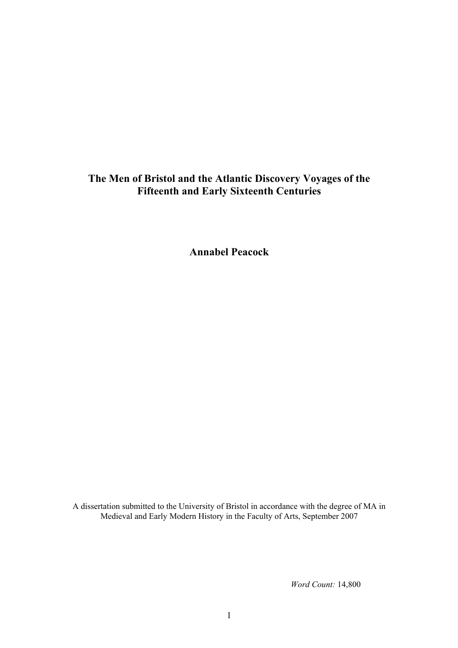## **The Men of Bristol and the Atlantic Discovery Voyages of the Fifteenth and Early Sixteenth Centuries**

**Annabel Peacock**

A dissertation submitted to the University of Bristol in accordance with the degree of MA in Medieval and Early Modern History in the Faculty of Arts, September 2007

*Word Count:* 14,800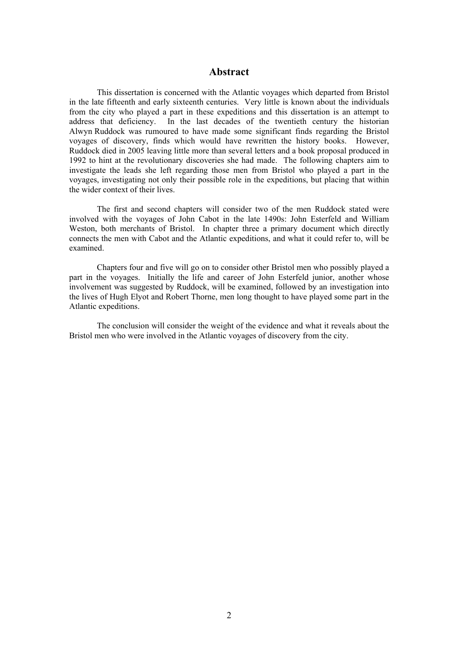## **Abstract**

This dissertation is concerned with the Atlantic voyages which departed from Bristol in the late fifteenth and early sixteenth centuries. Very little is known about the individuals from the city who played a part in these expeditions and this dissertation is an attempt to address that deficiency. In the last decades of the twentieth century the historian Alwyn Ruddock was rumoured to have made some significant finds regarding the Bristol voyages of discovery, finds which would have rewritten the history books. However, Ruddock died in 2005 leaving little more than several letters and a book proposal produced in 1992 to hint at the revolutionary discoveries she had made. The following chapters aim to investigate the leads she left regarding those men from Bristol who played a part in the voyages, investigating not only their possible role in the expeditions, but placing that within the wider context of their lives.

The first and second chapters will consider two of the men Ruddock stated were involved with the voyages of John Cabot in the late 1490s: John Esterfeld and William Weston, both merchants of Bristol. In chapter three a primary document which directly connects the men with Cabot and the Atlantic expeditions, and what it could refer to, will be examined.

Chapters four and five will go on to consider other Bristol men who possibly played a part in the voyages. Initially the life and career of John Esterfeld junior, another whose involvement was suggested by Ruddock, will be examined, followed by an investigation into the lives of Hugh Elyot and Robert Thorne, men long thought to have played some part in the Atlantic expeditions.

The conclusion will consider the weight of the evidence and what it reveals about the Bristol men who were involved in the Atlantic voyages of discovery from the city.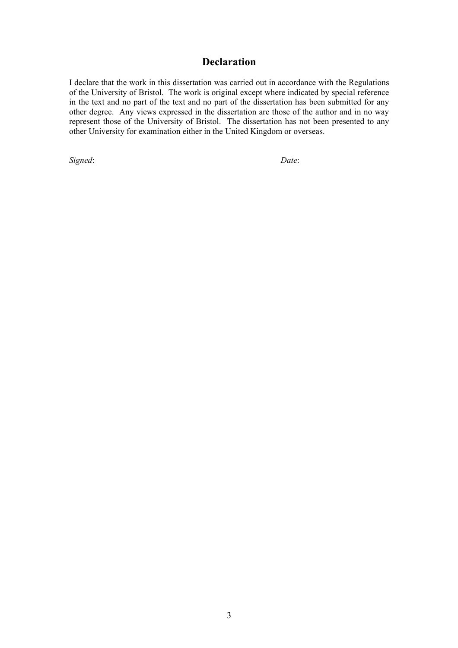## **Declaration**

I declare that the work in this dissertation was carried out in accordance with the Regulations of the University of Bristol. The work is original except where indicated by special reference in the text and no part of the text and no part of the dissertation has been submitted for any other degree. Any views expressed in the dissertation are those of the author and in no way represent those of the University of Bristol. The dissertation has not been presented to any other University for examination either in the United Kingdom or overseas.

*Signed*: *Date*: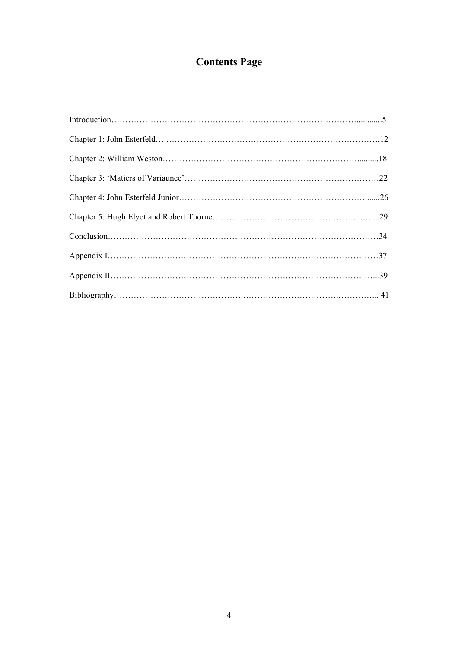# **Contents Page**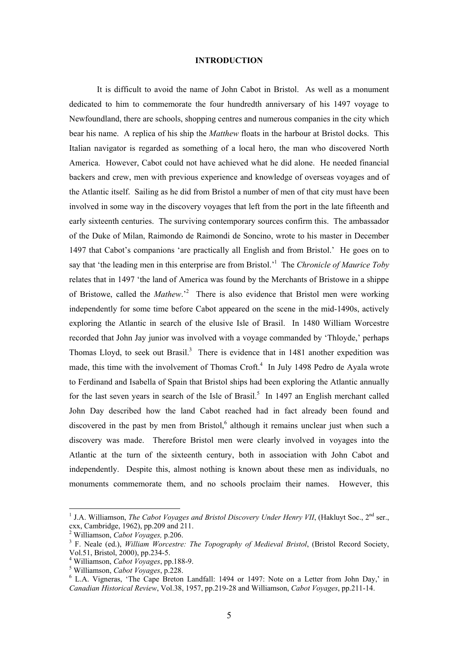## **INTRODUCTION**

It is difficult to avoid the name of John Cabot in Bristol. As well as a monument dedicated to him to commemorate the four hundredth anniversary of his 1497 voyage to Newfoundland, there are schools, shopping centres and numerous companies in the city which bear his name. A replica of his ship the *Matthew* floats in the harbour at Bristol docks. This Italian navigator is regarded as something of a local hero, the man who discovered North America. However, Cabot could not have achieved what he did alone. He needed financial backers and crew, men with previous experience and knowledge of overseas voyages and of the Atlantic itself. Sailing as he did from Bristol a number of men of that city must have been involved in some way in the discovery voyages that left from the port in the late fifteenth and early sixteenth centuries. The surviving contemporary sources confirm this. The ambassador of the Duke of Milan, Raimondo de Raimondi de Soncino, wrote to his master in December 1497 that Cabot's companions 'are practically all English and from Bristol.' He goes on to say that 'the leading men in this enterprise are from Bristol.['1](#page-4-0) The *Chronicle of Maurice Toby* relates that in 1497 'the land of America was found by the Merchants of Bristowe in a shippe ofBristowe, called the *Mathew*.<sup>2</sup> There is also evidence that Bristol men were working independently for some time before Cabot appeared on the scene in the mid-1490s, actively exploring the Atlantic in search of the elusive Isle of Brasil. In 1480 William Worcestre recorded that John Jay junior was involved with a voyage commanded by 'Thloyde,' perhaps Thomas Lloyd, to seek out Brasil.<sup>[3](#page-4-2)</sup> There is evidence that in  $1481$  another expedition was made, this time with the involvement of Thomas Croft.<sup>[4](#page-4-3)</sup> In July 1498 Pedro de Ayala wrote to Ferdinand and Isabella of Spain that Bristol ships had been exploring the Atlantic annually forthe last seven years in search of the Isle of Brasil.<sup>5</sup> In 1497 an English merchant called John Day described how the land Cabot reached had in fact already been found and discovered in the past by men from Bristol, $6$  although it remains unclear just when such a discovery was made. Therefore Bristol men were clearly involved in voyages into the Atlantic at the turn of the sixteenth century, both in association with John Cabot and independently. Despite this, almost nothing is known about these men as individuals, no monuments commemorate them, and no schools proclaim their names. However, this

<span id="page-4-0"></span><sup>&</sup>lt;sup>1</sup> J.A. Williamson, *The Cabot Voyages and Bristol Discovery Under Henry VII*, (Hakluyt Soc.,  $2<sup>nd</sup>$  ser., cxx, Cambridge,  $1962$ ), pp.209 and  $211$ .

<span id="page-4-1"></span>Williamson, *Cabot Voyages,* p.206. 3

<span id="page-4-2"></span>F. Neale (ed.), *William Worcestre: The Topography of Medieval Bristol*, (Bristol Record Society, Vol.51, Bristol, 2000), pp.234-5. 4

<span id="page-4-3"></span>Williamson, *Cabot Voyages*, pp.188-9. 5

<span id="page-4-4"></span>Williamson, *Cabot Voyages*, p.228. 6

<span id="page-4-5"></span><sup>&</sup>lt;sup>6</sup> L.A. Vigneras, 'The Cape Breton Landfall: 1494 or 1497: Note on a Letter from John Day,' in *Canadian Historical Review*, Vol.38, 1957, pp.219-28 and Williamson, *Cabot Voyages*, pp.211-14.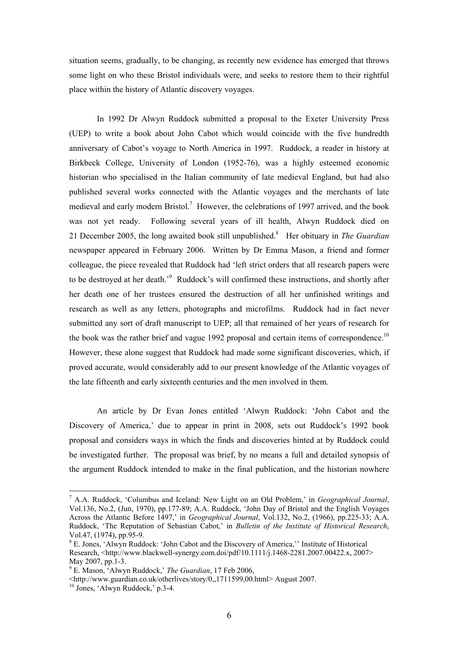situation seems, gradually, to be changing, as recently new evidence has emerged that throws some light on who these Bristol individuals were, and seeks to restore them to their rightful place within the history of Atlantic discovery voyages.

In 1992 Dr Alwyn Ruddock submitted a proposal to the Exeter University Press (UEP) to write a book about John Cabot which would coincide with the five hundredth anniversary of Cabot's voyage to North America in 1997. Ruddock, a reader in history at Birkbeck College, University of London (1952-76), was a highly esteemed economic historian who specialised in the Italian community of late medieval England, but had also published several works connected with the Atlantic voyages and the merchants of late medievaland early modern Bristol.<sup>7</sup> However, the celebrations of 1997 arrived, and the book was not yet ready. Following several years of ill health, Alwyn Ruddock died on 21 December 2005, the long awaited book still unpublished.<sup>[8](#page-5-1)</sup> Her obituary in *The Guardian* newspaper appeared in February 2006. Written by Dr Emma Mason, a friend and former colleague, the piece revealed that Ruddock had 'left strict orders that all research papers were to be destroyed at her death.<sup>'[9](#page-5-2)</sup> Ruddock's will confirmed these instructions, and shortly after her death one of her trustees ensured the destruction of all her unfinished writings and research as well as any letters, photographs and microfilms. Ruddock had in fact never submitted any sort of draft manuscript to UEP; all that remained of her years of research for the book was the rather brief and vague 1992 proposal and certain items of correspondence.<sup>10</sup> However, these alone suggest that Ruddock had made some significant discoveries, which, if proved accurate, would considerably add to our present knowledge of the Atlantic voyages of the late fifteenth and early sixteenth centuries and the men involved in them.

An article by Dr Evan Jones entitled 'Alwyn Ruddock: 'John Cabot and the Discovery of America,' due to appear in print in 2008, sets out Ruddock's 1992 book proposal and considers ways in which the finds and discoveries hinted at by Ruddock could be investigated further. The proposal was brief, by no means a full and detailed synopsis of the argument Ruddock intended to make in the final publication, and the historian nowhere

<span id="page-5-0"></span><sup>7</sup> A.A. Ruddock, 'Columbus and Iceland: New Light on an Old Problem,' in *Geographical Journal*, Vol.136, No.2, (Jun, 1970), pp.177-89; A.A. Ruddock, 'John Day of Bristol and the English Voyages Across the Atlantic Before 1497,' in *Geographical Journal*, Vol.132, No.2, (1966), pp.225-33; A.A. Ruddock, 'The Reputation of Sebastian Cabot,' in *Bulletin of the Institute of Historical Research*, Vol.47,  $(1974)$ , pp.95-9.

<span id="page-5-1"></span>E. Jones, 'Alwyn Ruddock: 'John Cabot and the Discovery of America,'' Institute of Historical Research, [<http://www.blackwell-synergy.com.doi/pdf/10.1111/j.1468-2281.2007.00422.x](http://www.blackwell-synergy.com.doi/pdf/10.1111/j.1468-2281.2007.00422.x), 2007> May  $2007$ , pp. 1-3.

<span id="page-5-2"></span>E. Mason, 'Alwyn Ruddock,' *The Guardian*, 17 Feb 2006,

<sup>&</sup>lt;http://www.guardian.co.uk/otherlives/story/0,,1711599,00.html> August 2007. 1[0](http://www.guardian.co.uk/otherlives/story/0,,1711599,00.html) Jones, 'Alwyn Ruddock,' p.3-4.

<span id="page-5-3"></span>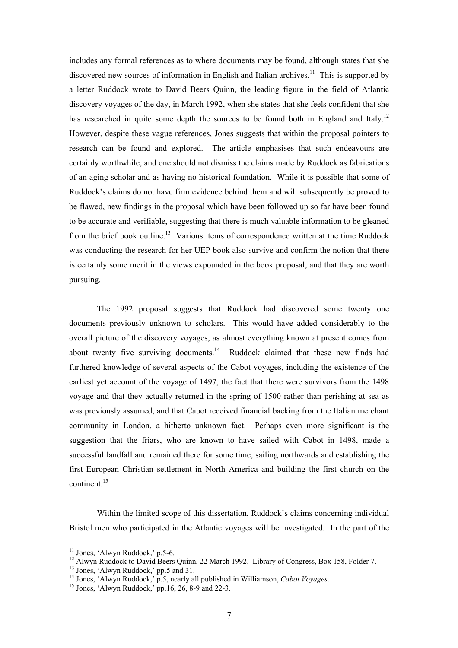includes any formal references as to where documents may be found, although states that she discovered new sources of information in English and Italian archives.<sup>11</sup> This is supported by a letter Ruddock wrote to David Beers Quinn, the leading figure in the field of Atlantic discovery voyages of the day, in March 1992, when she states that she feels confident that she has researched in quite some depth the sources to be found both in England and Italy.<sup>12</sup> However, despite these vague references, Jones suggests that within the proposal pointers to research can be found and explored. The article emphasises that such endeavours are certainly worthwhile, and one should not dismiss the claims made by Ruddock as fabrications of an aging scholar and as having no historical foundation. While it is possible that some of Ruddock's claims do not have firm evidence behind them and will subsequently be proved to be flawed, new findings in the proposal which have been followed up so far have been found to be accurate and verifiable, suggesting that there is much valuable information to be gleaned from the brief book outline.<sup>13</sup> Various items of correspondence written at the time Ruddock was conducting the research for her UEP book also survive and confirm the notion that there is certainly some merit in the views expounded in the book proposal, and that they are worth pursuing.

The 1992 proposal suggests that Ruddock had discovered some twenty one documents previously unknown to scholars. This would have added considerably to the overall picture of the discovery voyages, as almost everything known at present comes from about twenty five surviving documents.<sup>14</sup> Ruddock claimed that these new finds had furthered knowledge of several aspects of the Cabot voyages, including the existence of the earliest yet account of the voyage of 1497, the fact that there were survivors from the 1498 voyage and that they actually returned in the spring of 1500 rather than perishing at sea as was previously assumed, and that Cabot received financial backing from the Italian merchant community in London, a hitherto unknown fact. Perhaps even more significant is the suggestion that the friars, who are known to have sailed with Cabot in 1498, made a successful landfall and remained there for some time, sailing northwards and establishing the first European Christian settlement in North America and building the first church on the continent.<sup>15</sup>

Within the limited scope of this dissertation, Ruddock's claims concerning individual Bristol men who participated in the Atlantic voyages will be investigated. In the part of the

<span id="page-6-1"></span><span id="page-6-0"></span>

<sup>&</sup>lt;sup>11</sup> Jones, 'Alwyn Ruddock,' p.5-6.<br><sup>12</sup> Alwyn Ruddock to David Beers Quinn, 22 March 1992. Library of Congress, Box 158, Folder 7.<br><sup>13</sup> Jones, 'Alwyn Ruddock,' pp.5 and 31.<br><sup>14</sup> Jones, 'Alwyn Ruddock,' p.5, nearly all pu

<span id="page-6-2"></span>

<span id="page-6-3"></span>

<span id="page-6-4"></span>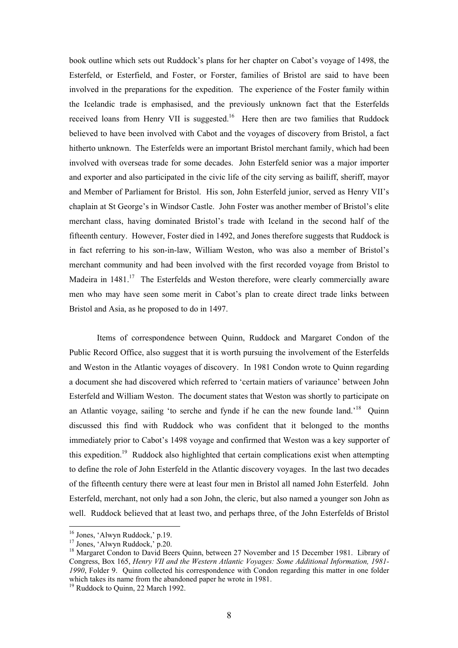book outline which sets out Ruddock's plans for her chapter on Cabot's voyage of 1498, the Esterfeld, or Esterfield, and Foster, or Forster, families of Bristol are said to have been involved in the preparations for the expedition. The experience of the Foster family within the Icelandic trade is emphasised, and the previously unknown fact that the Esterfelds received loans from Henry VII is suggested.<sup>16</sup> Here then are two families that Ruddock believed to have been involved with Cabot and the voyages of discovery from Bristol, a fact hitherto unknown. The Esterfelds were an important Bristol merchant family, which had been involved with overseas trade for some decades. John Esterfeld senior was a major importer and exporter and also participated in the civic life of the city serving as bailiff, sheriff, mayor and Member of Parliament for Bristol. His son, John Esterfeld junior, served as Henry VII's chaplain at St George's in Windsor Castle. John Foster was another member of Bristol's elite merchant class, having dominated Bristol's trade with Iceland in the second half of the fifteenth century. However, Foster died in 1492, and Jones therefore suggests that Ruddock is in fact referring to his son-in-law, William Weston, who was also a member of Bristol's merchant community and had been involved with the first recorded voyage from Bristol to Madeira in 1481.<sup>17</sup> The Esterfelds and Weston therefore, were clearly commercially aware men who may have seen some merit in Cabot's plan to create direct trade links between Bristol and Asia, as he proposed to do in 1497.

Items of correspondence between Quinn, Ruddock and Margaret Condon of the Public Record Office, also suggest that it is worth pursuing the involvement of the Esterfelds and Weston in the Atlantic voyages of discovery. In 1981 Condon wrote to Quinn regarding a document she had discovered which referred to 'certain matiers of variaunce' between John Esterfeld and William Weston. The document states that Weston was shortly to participate on an Atlantic voyage, sailing 'to serche and fynde if he can the new founde land.<sup>18</sup> Quinn discussed this find with Ruddock who was confident that it belonged to the months immediately prior to Cabot's 1498 voyage and confirmed that Weston was a key supporter of this expedition.<sup>19</sup> Ruddock also highlighted that certain complications exist when attempting to define the role of John Esterfeld in the Atlantic discovery voyages. In the last two decades of the fifteenth century there were at least four men in Bristol all named John Esterfeld. John Esterfeld, merchant, not only had a son John, the cleric, but also named a younger son John as well. Ruddock believed that at least two, and perhaps three, of the John Esterfelds of Bristol

<span id="page-7-0"></span>

<span id="page-7-2"></span><span id="page-7-1"></span>

<sup>&</sup>lt;sup>16</sup> Jones, 'Alwyn Ruddock,' p.19.<br><sup>17</sup> Jones, 'Alwyn Ruddock,' p.20.<br><sup>18</sup> Margaret Condon to David Beers Quinn, between 27 November and 15 December 1981. Library of Congress, Box 165, *Henry VII and the Western Atlantic Voyages: Some Additional Information, 1981- 1990*, Folder 9. Quinn collected his correspondence with Condon regarding this matter in one folder which takes its name from the abandoned paper he wrote in 1981.<br><sup>19</sup> Ruddock to Quinn, 22 March 1992.

<span id="page-7-3"></span>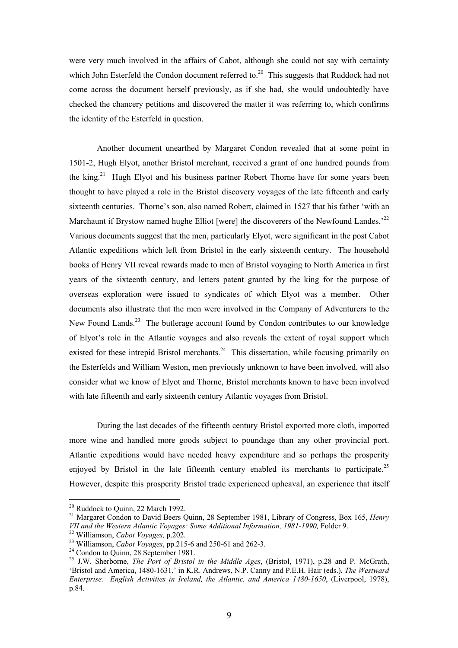were very much involved in the affairs of Cabot, although she could not say with certainty which John Esterfeld the Condon document referred to.<sup>20</sup> This suggests that Ruddock had not come across the document herself previously, as if she had, she would undoubtedly have checked the chancery petitions and discovered the matter it was referring to, which confirms the identity of the Esterfeld in question.

Another document unearthed by Margaret Condon revealed that at some point in 1501-2, Hugh Elyot, another Bristol merchant, received a grant of one hundred pounds from the king.<sup>21</sup> Hugh Elyot and his business partner Robert Thorne have for some years been thought to have played a role in the Bristol discovery voyages of the late fifteenth and early sixteenth centuries. Thorne's son, also named Robert, claimed in 1527 that his father 'with an Marchaunt if Brystow named hughe Elliot [were] the discoverers of the Newfound Landes.<sup>22</sup> Various documents suggest that the men, particularly Elyot, were significant in the post Cabot Atlantic expeditions which left from Bristol in the early sixteenth century. The household books of Henry VII reveal rewards made to men of Bristol voyaging to North America in first years of the sixteenth century, and letters patent granted by the king for the purpose of overseas exploration were issued to syndicates of which Elyot was a member. Other documents also illustrate that the men were involved in the Company of Adventurers to the New Found Lands.<sup>23</sup> The butlerage account found by Condon contributes to our knowledge of Elyot's role in the Atlantic voyages and also reveals the extent of royal support which existed for these intrepid Bristol merchants.<sup>24</sup> This dissertation, while focusing primarily on the Esterfelds and William Weston, men previously unknown to have been involved, will also consider what we know of Elyot and Thorne, Bristol merchants known to have been involved with late fifteenth and early sixteenth century Atlantic voyages from Bristol.

During the last decades of the fifteenth century Bristol exported more cloth, imported more wine and handled more goods subject to poundage than any other provincial port. Atlantic expeditions would have needed heavy expenditure and so perhaps the prosperity enjoyed by Bristol in the late fifteenth century enabled its merchants to participate.<sup>25</sup> However, despite this prosperity Bristol trade experienced upheaval, an experience that itself

<span id="page-8-1"></span><span id="page-8-0"></span>

<sup>&</sup>lt;sup>20</sup> Ruddock to Quinn, 22 March 1992.<br><sup>21</sup> Margaret Condon to David Beers Quinn, 28 September 1981, Library of Congress, Box 165, *Henry VII and the Western Atlantic Voyages: Some Additional Information, 1981-1990, Folder* 

<span id="page-8-3"></span>

<span id="page-8-5"></span><span id="page-8-4"></span>

<span id="page-8-2"></span><sup>&</sup>lt;sup>22</sup> Williamson, *Cabot Voyages*, p.202.<br><sup>23</sup> Williamson, *Cabot Voyages*, pp.215-6 and 250-61 and 262-3.<br><sup>24</sup> Condon to Quinn, 28 September 1981.<br><sup>25</sup> J.W. Sherborne, *The Port of Bristol in the Middle Ages*, (Bristol, 1 'Bristol and America, 1480-1631,' in K.R. Andrews, N.P. Canny and P.E.H. Hair (eds.), *The Westward Enterprise. English Activities in Ireland, the Atlantic, and America 1480-1650*, (Liverpool, 1978), p.84.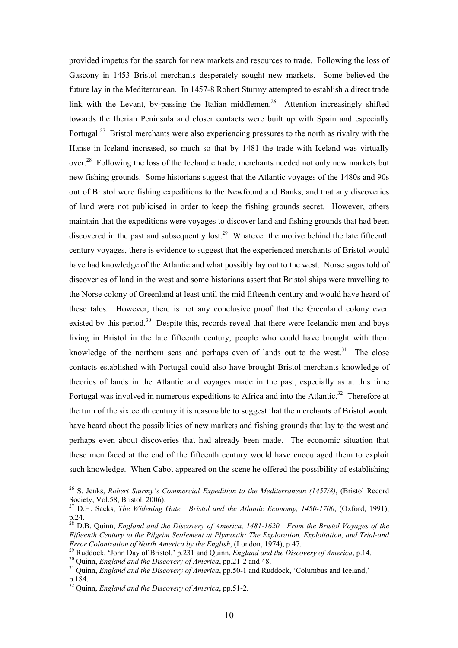provided impetus for the search for new markets and resources to trade. Following the loss of Gascony in 1453 Bristol merchants desperately sought new markets. Some believed the future lay in the Mediterranean. In 1457-8 Robert Sturmy attempted to establish a direct trade link with the Levant, by-passing the Italian middlemen.<sup>26</sup> Attention increasingly shifted towards the Iberian Peninsula and closer contacts were built up with Spain and especially Portugal.<sup>27</sup> Bristol merchants were also experiencing pressures to the north as rivalry with the Hanse in Iceland increased, so much so that by 1481 the trade with Iceland was virtually over.<sup>28</sup> Following the loss of the Icelandic trade, merchants needed not only new markets but new fishing grounds. Some historians suggest that the Atlantic voyages of the 1480s and 90s out of Bristol were fishing expeditions to the Newfoundland Banks, and that any discoveries of land were not publicised in order to keep the fishing grounds secret. However, others maintain that the expeditions were voyages to discover land and fishing grounds that had been discovered in the past and subsequently lost.<sup>29</sup> Whatever the motive behind the late fifteenth century voyages, there is evidence to suggest that the experienced merchants of Bristol would have had knowledge of the Atlantic and what possibly lay out to the west. Norse sagas told of discoveries of land in the west and some historians assert that Bristol ships were travelling to the Norse colony of Greenland at least until the mid fifteenth century and would have heard of these tales. However, there is not any conclusive proof that the Greenland colony even existed by this period.<sup>30</sup> Despite this, records reveal that there were Icelandic men and boys living in Bristol in the late fifteenth century, people who could have brought with them knowledge of the northern seas and perhaps even of lands out to the west.<sup>31</sup> The close contacts established with Portugal could also have brought Bristol merchants knowledge of theories of lands in the Atlantic and voyages made in the past, especially as at this time Portugal was involved in numerous expeditions to Africa and into the Atlantic.<sup>32</sup> Therefore at the turn of the sixteenth century it is reasonable to suggest that the merchants of Bristol would have heard about the possibilities of new markets and fishing grounds that lay to the west and perhaps even about discoveries that had already been made. The economic situation that these men faced at the end of the fifteenth century would have encouraged them to exploit such knowledge. When Cabot appeared on the scene he offered the possibility of establishing

<span id="page-9-0"></span><sup>&</sup>lt;sup>26</sup> S. Jenks, *Robert Sturmy's Commercial Expedition to the Mediterranean (1457/8)*, (Bristol Record Society, Vol.58, Bristol, 2006).

<span id="page-9-1"></span><sup>&</sup>lt;sup>27</sup> D.H. Sacks, *The Widening Gate. Bristol and the Atlantic Economy, 1450-1700*, (Oxford, 1991),

<span id="page-9-2"></span>p.24.<br><sup>28</sup> D.B. Quinn, *England and the Discovery of America, 1481-1620.* From the Bristol *Voyages of the Fifteenth Century to the Pilgrim Settlement at Plymouth: The Exploration, Exploitation, and Trial-and*

<span id="page-9-3"></span><sup>&</sup>lt;sup>29</sup> Ruddock, 'John Day of Bristol,' p.231 and Quinn, *England and the Discovery of America*, p.14.<br><sup>30</sup> Quinn, *England and the Discovery of America*, pp.21-2 and 48.<br><sup>31</sup> Quinn, *England and the Discovery of America*, p

<span id="page-9-4"></span>

<span id="page-9-5"></span>p.184. 32 Quinn, *England and the Discovery of America*, pp.51-2.

<span id="page-9-6"></span>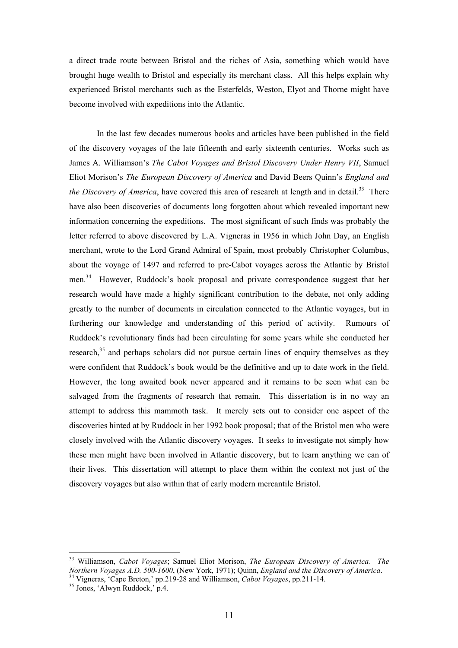a direct trade route between Bristol and the riches of Asia, something which would have brought huge wealth to Bristol and especially its merchant class. All this helps explain why experienced Bristol merchants such as the Esterfelds, Weston, Elyot and Thorne might have become involved with expeditions into the Atlantic.

In the last few decades numerous books and articles have been published in the field of the discovery voyages of the late fifteenth and early sixteenth centuries. Works such as James A. Williamson's *The Cabot Voyages and Bristol Discovery Under Henry VII*, Samuel Eliot Morison's *The European Discovery of America* and David Beers Quinn's *England and the Discovery of America*, have covered this area of research at length and in detail.<sup>33</sup> There have also been discoveries of documents long forgotten about which revealed important new information concerning the expeditions. The most significant of such finds was probably the letter referred to above discovered by L.A. Vigneras in 1956 in which John Day, an English merchant, wrote to the Lord Grand Admiral of Spain, most probably Christopher Columbus, about the voyage of 1497 and referred to pre-Cabot voyages across the Atlantic by Bristol men.[34](#page-10-1) However, Ruddock's book proposal and private correspondence suggest that her research would have made a highly significant contribution to the debate, not only adding greatly to the number of documents in circulation connected to the Atlantic voyages, but in furthering our knowledge and understanding of this period of activity. Rumours of Ruddock's revolutionary finds had been circulating for some years while she conducted her research,<sup>35</sup> and perhaps scholars did not pursue certain lines of enquiry themselves as they were confident that Ruddock's book would be the definitive and up to date work in the field. However, the long awaited book never appeared and it remains to be seen what can be salvaged from the fragments of research that remain. This dissertation is in no way an attempt to address this mammoth task. It merely sets out to consider one aspect of the discoveries hinted at by Ruddock in her 1992 book proposal; that of the Bristol men who were closely involved with the Atlantic discovery voyages. It seeks to investigate not simply how these men might have been involved in Atlantic discovery, but to learn anything we can of their lives. This dissertation will attempt to place them within the context not just of the discovery voyages but also within that of early modern mercantile Bristol.

<span id="page-10-0"></span><sup>33</sup> Williamson, *Cabot Voyages*; Samuel Eliot Morison, *The European Discovery of America. The* 

<span id="page-10-1"></span><sup>&</sup>lt;sup>34</sup> Vigneras, 'Cape Breton,' pp.219-28 and Williamson, *Cabot Voyages*, pp.211-14.<br><sup>35</sup> Jones, 'Alwyn Ruddock,' p.4.

<span id="page-10-2"></span>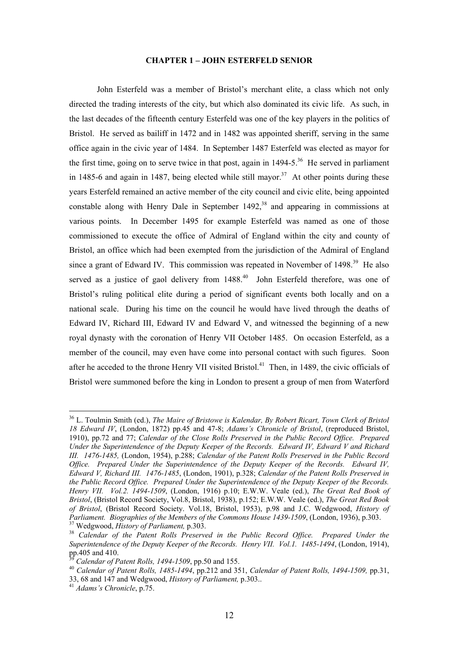## **CHAPTER 1 – JOHN ESTERFELD SENIOR**

John Esterfeld was a member of Bristol's merchant elite, a class which not only directed the trading interests of the city, but which also dominated its civic life. As such, in the last decades of the fifteenth century Esterfeld was one of the key players in the politics of Bristol. He served as bailiff in 1472 and in 1482 was appointed sheriff, serving in the same office again in the civic year of 1484. In September 1487 Esterfeld was elected as mayor for the first time, going on to serve twice in that post, again in  $1494-5$ <sup>36</sup>. He served in parliament in 1485-6 and again in 1487, being elected while still mayor.<sup>37</sup> At other points during these years Esterfeld remained an active member of the city council and civic elite, being appointed constable along with Henry Dale in September  $1492<sup>38</sup>$  and appearing in commissions at various points. In December 1495 for example Esterfeld was named as one of those commissioned to execute the office of Admiral of England within the city and county of Bristol, an office which had been exempted from the jurisdiction of the Admiral of England since a grant of Edward IV. This commission was repeated in November of 1498.<sup>39</sup> He also served as a justice of gaol delivery from 1488.<sup>40</sup> John Esterfeld therefore, was one of Bristol's ruling political elite during a period of significant events both locally and on a national scale. During his time on the council he would have lived through the deaths of Edward IV, Richard III, Edward IV and Edward V, and witnessed the beginning of a new royal dynasty with the coronation of Henry VII October 1485. On occasion Esterfeld, as a member of the council, may even have come into personal contact with such figures. Soon after he acceded to the throne Henry VII visited Bristol.<sup>41</sup> Then, in 1489, the civic officials of Bristol were summoned before the king in London to present a group of men from Waterford

<span id="page-11-0"></span><sup>36</sup> L. Toulmin Smith (ed.), *The Maire of Bristowe is Kalendar, By Robert Ricart, Town Clerk of Bristol 18 Edward IV*, (London, 1872) pp.45 and 47-8; *Adams's Chronicle of Bristol*, (reproduced Bristol, 1910), pp.72 and 77; *Calendar of the Close Rolls Preserved in the Public Record Office. Prepared Under the Superintendence of the Deputy Keeper of the Records. Edward IV, Edward V and Richard III. 1476-1485,* (London, 1954), p.288; *Calendar of the Patent Rolls Preserved in the Public Record Office. Prepared Under the Superintendence of the Deputy Keeper of the Records. Edward IV, Edward V, Richard III. 1476-1485*, (London, 1901), p.328; *Calendar of the Patent Rolls Preserved in the Public Record Office. Prepared Under the Superintendence of the Deputy Keeper of the Records. Henry VII. Vol.2. 1494-1509*, (London, 1916) p.10; E.W.W. Veale (ed.), *The Great Red Book of Bristol*, (Bristol Record Society, Vol.8, Bristol, 1938), p.152; E.W.W. Veale (ed.), *The Great Red Book of Bristol*, (Bristol Record Society. Vol.18, Bristol, 1953), p.98 and J.C. Wedgwood, *History of*   $^{37}$  Wedgwood, History of Parliament, p.303.<br> $^{38}$  Calendar of the Patent Rolls Preserved in the Public Record Office. Prepared Under the

<span id="page-11-2"></span><span id="page-11-1"></span>*Superintendence of the Deputy Keeper of the Records. Henry VII. Vol.1. 1485-1494*, (London, 1914),

<span id="page-11-4"></span><span id="page-11-3"></span>

pp.405 and 410. 39 *Calendar of Patent Rolls, 1494-1509*, pp.50 and 155. 40 *Calendar of Patent Rolls, 1485-1494*, pp.212 and 351, *Calendar of Patent Rolls, 1494-1509,* pp.31, 33, 68 and 147 and Wedgwood, *History of Parliament,* p.303.. 41 *Adams's Chronicle*, p.75.

<span id="page-11-5"></span>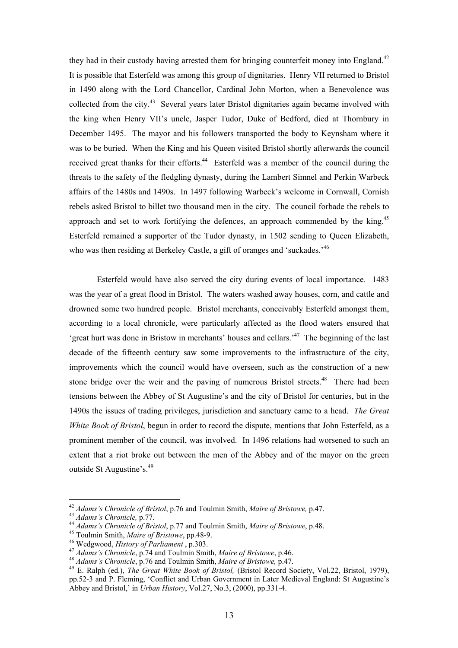they had in their custody having arrested them for bringing counterfeit money into England.<sup>42</sup> It is possible that Esterfeld was among this group of dignitaries. Henry VII returned to Bristol in 1490 along with the Lord Chancellor, Cardinal John Morton, when a Benevolence was collected from the city.<sup>43</sup> Several years later Bristol dignitaries again became involved with the king when Henry VII's uncle, Jasper Tudor, Duke of Bedford, died at Thornbury in December 1495. The mayor and his followers transported the body to Keynsham where it was to be buried. When the King and his Queen visited Bristol shortly afterwards the council received great thanks for their efforts.<sup>44</sup> Esterfeld was a member of the council during the threats to the safety of the fledgling dynasty, during the Lambert Simnel and Perkin Warbeck affairs of the 1480s and 1490s. In 1497 following Warbeck's welcome in Cornwall, Cornish rebels asked Bristol to billet two thousand men in the city. The council forbade the rebels to approach and set to work fortifying the defences, an approach commended by the king.<sup>45</sup> Esterfeld remained a supporter of the Tudor dynasty, in 1502 sending to Queen Elizabeth, who was then residing at Berkeley Castle, a gift of oranges and 'suckades.<sup>'46</sup>

Esterfeld would have also served the city during events of local importance. 1483 was the year of a great flood in Bristol. The waters washed away houses, corn, and cattle and drowned some two hundred people. Bristol merchants, conceivably Esterfeld amongst them, according to a local chronicle, were particularly affected as the flood waters ensured that 'great hurt was done in Bristow in merchants' houses and cellars.'[47](#page-12-5) The beginning of the last decade of the fifteenth century saw some improvements to the infrastructure of the city, improvements which the council would have overseen, such as the construction of a new stone bridge over the weir and the paving of numerous Bristol streets.<sup>48</sup> There had been tensions between the Abbey of St Augustine's and the city of Bristol for centuries, but in the 1490s the issues of trading privileges, jurisdiction and sanctuary came to a head. *The Great White Book of Bristol*, begun in order to record the dispute, mentions that John Esterfeld, as a prominent member of the council, was involved. In 1496 relations had worsened to such an extent that a riot broke out between the men of the Abbey and of the mayor on the green outside St Augustine's.[49](#page-12-7)

<span id="page-12-0"></span>

<span id="page-12-1"></span>

<span id="page-12-2"></span>

<span id="page-12-3"></span>

<span id="page-12-4"></span>

<span id="page-12-5"></span>

<span id="page-12-7"></span><span id="page-12-6"></span>

<sup>&</sup>lt;sup>42</sup> Adams's Chronicle of Bristol, p.76 and Toulmin Smith, Maire of Bristowe, p.47.<br><sup>43</sup> Adams's Chronicle, p.77.<br><sup>44</sup> Adams's Chronicle of Bristol, p.77 and Toulmin Smith, Maire of Bristowe, p.48.<br><sup>45</sup> Toulmin Smith, Mai pp.52-3 and P. Fleming, 'Conflict and Urban Government in Later Medieval England: St Augustine's Abbey and Bristol,' in *Urban History*, Vol.27, No.3, (2000), pp.331-4.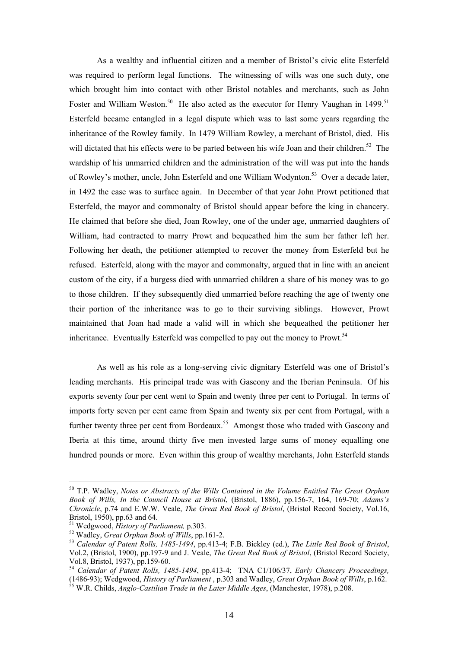As a wealthy and influential citizen and a member of Bristol's civic elite Esterfeld was required to perform legal functions. The witnessing of wills was one such duty, one which brought him into contact with other Bristol notables and merchants, such as John Foster and William Weston.<sup>50</sup> He also acted as the executor for Henry Vaughan in 1499.<sup>51</sup> Esterfeld became entangled in a legal dispute which was to last some years regarding the inheritance of the Rowley family. In 1479 William Rowley, a merchant of Bristol, died. His will dictated that his effects were to be parted between his wife Joan and their children.<sup>52</sup> The wardship of his unmarried children and the administration of the will was put into the hands of Rowley's mother, uncle, John Esterfeld and one William Wodynton.<sup>53</sup> Over a decade later, in 1492 the case was to surface again. In December of that year John Prowt petitioned that Esterfeld, the mayor and commonalty of Bristol should appear before the king in chancery. He claimed that before she died, Joan Rowley, one of the under age, unmarried daughters of William, had contracted to marry Prowt and bequeathed him the sum her father left her. Following her death, the petitioner attempted to recover the money from Esterfeld but he refused. Esterfeld, along with the mayor and commonalty, argued that in line with an ancient custom of the city, if a burgess died with unmarried children a share of his money was to go to those children. If they subsequently died unmarried before reaching the age of twenty one their portion of the inheritance was to go to their surviving siblings. However, Prowt maintained that Joan had made a valid will in which she bequeathed the petitioner her inheritance. Eventually Esterfeld was compelled to pay out the money to Prowt.<sup>[54](#page-13-4)</sup>

As well as his role as a long-serving civic dignitary Esterfeld was one of Bristol's leading merchants. His principal trade was with Gascony and the Iberian Peninsula. Of his exports seventy four per cent went to Spain and twenty three per cent to Portugal. In terms of imports forty seven per cent came from Spain and twenty six per cent from Portugal, with a further twenty three per cent from Bordeaux.<sup>55</sup> Amongst those who traded with Gascony and Iberia at this time, around thirty five men invested large sums of money equalling one hundred pounds or more. Even within this group of wealthy merchants, John Esterfeld stands

<span id="page-13-0"></span><sup>50</sup> T.P. Wadley, *Notes or Abstracts of the Wills Contained in the Volume Entitled The Great Orphan Book of Wills, In the Council House at Bristol*, (Bristol, 1886), pp.156-7, 164, 169-70; *Adams's Chronicle*, p.74 and E.W.W. Veale, *The Great Red Book of Bristol*, (Bristol Record Society, Vol.16,

<span id="page-13-3"></span><span id="page-13-2"></span>

<span id="page-13-1"></span><sup>&</sup>lt;sup>51</sup> Wedgwood, *History of Parliament*, p.303.<br><sup>52</sup> Wadley, *Great Orphan Book of Wills*, pp.161-2.<br><sup>53</sup> Calendar of Patent Rolls, 1485-1494, pp.413-4; F.B. Bickley (ed.), *The Little Red Book of Bristol*, Vol.2, (Bristol, 1900), pp.197-9 and J. Veale, *The Great Red Book of Bristol*, (Bristol Record Society,

<span id="page-13-4"></span>Vol.8, Bristol, 1937), pp.159-60. 54 *Calendar of Patent Rolls, 1485-1494*, pp.413-4; TNA C1/106/37, *Early Chancery Proceedings,* (1486-93); Wedgwood, *History of Parliament* , p.303 and Wadley, *Great Orphan Book of Wills*, p.162. 55 W.R. Childs, *Anglo-Castilian Trade in the Later Middle Ages*, (Manchester, 1978), p.208.

<span id="page-13-5"></span>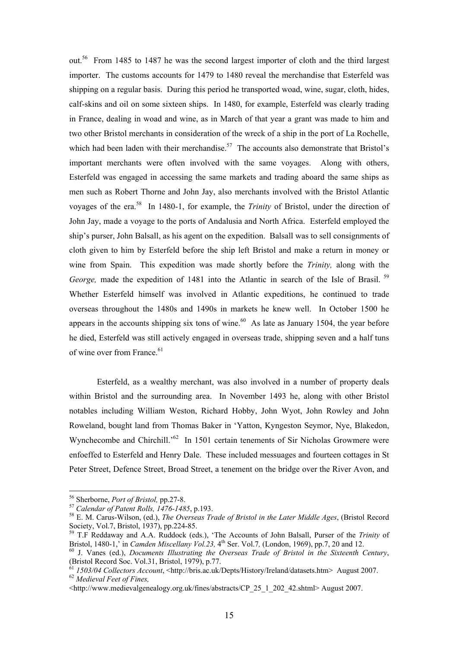out.[56](#page-14-0) From 1485 to 1487 he was the second largest importer of cloth and the third largest importer. The customs accounts for 1479 to 1480 reveal the merchandise that Esterfeld was shipping on a regular basis. During this period he transported woad, wine, sugar, cloth, hides, calf-skins and oil on some sixteen ships. In 1480, for example, Esterfeld was clearly trading in France, dealing in woad and wine, as in March of that year a grant was made to him and two other Bristol merchants in consideration of the wreck of a ship in the port of La Rochelle, which had been laden with their merchandise.<sup>57</sup> The accounts also demonstrate that Bristol's important merchants were often involved with the same voyages. Along with others, Esterfeld was engaged in accessing the same markets and trading aboard the same ships as men such as Robert Thorne and John Jay, also merchants involved with the Bristol Atlantic voyages of the era.[58](#page-14-2) In 1480-1, for example, the *Trinity* of Bristol, under the direction of John Jay, made a voyage to the ports of Andalusia and North Africa. Esterfeld employed the ship's purser, John Balsall, as his agent on the expedition. Balsall was to sell consignments of cloth given to him by Esterfeld before the ship left Bristol and make a return in money or wine from Spain. This expedition was made shortly before the *Trinity,* along with the *George,* made the expedition of 1481 into the Atlantic in search of the Isle of Brasil.<sup>59</sup> Whether Esterfeld himself was involved in Atlantic expeditions, he continued to trade overseas throughout the 1480s and 1490s in markets he knew well. In October 1500 he appears in the accounts shipping six tons of wine.<sup>60</sup> As late as January 1504, the year before he died, Esterfeld was still actively engaged in overseas trade, shipping seven and a half tuns of wine over from France.<sup>61</sup>

Esterfeld, as a wealthy merchant, was also involved in a number of property deals within Bristol and the surrounding area. In November 1493 he, along with other Bristol notables including William Weston, Richard Hobby, John Wyot, John Rowley and John Roweland, bought land from Thomas Baker in 'Yatton, Kyngeston Seymor, Nye, Blakedon, Wynchecombe and Chirchill.<sup>562</sup> In 1501 certain tenements of Sir Nicholas Growmere were enfoeffed to Esterfeld and Henry Dale. These included messuages and fourteen cottages in St Peter Street, Defence Street, Broad Street, a tenement on the bridge over the River Avon, and

<span id="page-14-0"></span><sup>&</sup>lt;sup>56</sup> Sherborne, *Port of Bristol*, pp.27-8.

<span id="page-14-2"></span><span id="page-14-1"></span>

<sup>&</sup>lt;sup>57</sup> Calendar of Patent Rolls, 1476-1485, p.193.<br><sup>58</sup> E. M. Carus-Wilson, (ed.), *The Overseas Trade of Bristol in the Later Middle Ages*, (Bristol Record Society, Vol.7, Bristol, 1937), pp.224-85. Society, Vol.7, Bristol, 1937), pp.224-85.<br><sup>59</sup> T.F Reddaway and A.A. Ruddock (eds.), 'The Accounts of John Balsall, Purser of the *Trinity* of

<span id="page-14-3"></span>Bristol, 1480-1,' in *Camden Miscellany Vol.23*, 4<sup>th</sup> Ser. Vol.7, (London, 1969), pp.7, 20 and 12.<br><sup>60</sup> J. Vanes (ed.), *Documents Illustrating the Overseas Trade of Bristol in the Sixteenth Century*,

<span id="page-14-4"></span>

<span id="page-14-5"></span><sup>(</sup>Bristol Record Soc. Vol.31, Bristol, 1979), p.77.<br><sup>61</sup> *1503/04 Collectors Account*, <[http://bris.ac.uk/Depts/History/Ireland/datasets.htm>](http://bris.ac.uk/Depts/History/Ireland/datasets.htm) August 2007.<br><sup>62</sup> *Medieval Feet of Fines*,

<span id="page-14-6"></span><sup>&</sup>lt;http://www.medievalgenealogy.org.uk/fines/abstracts/CP\_25\_1\_202\_42.shtml> August 2007.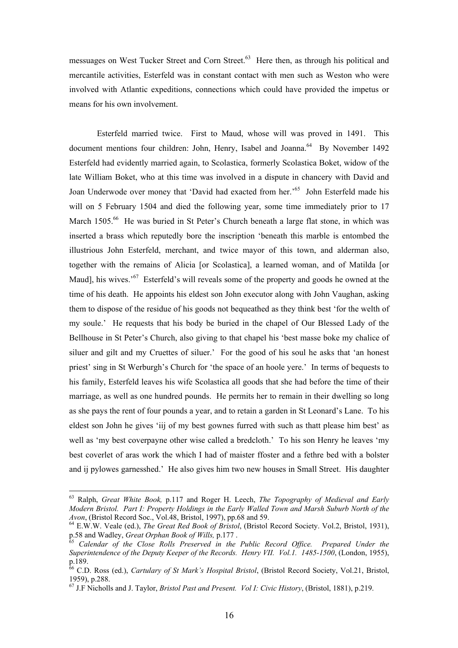messuages on West Tucker Street and Corn Street.<sup>63</sup> Here then, as through his political and mercantile activities, Esterfeld was in constant contact with men such as Weston who were involved with Atlantic expeditions, connections which could have provided the impetus or means for his own involvement.

Esterfeld married twice. First to Maud, whose will was proved in 1491. This document mentions four children: John, Henry, Isabel and Joanna.<sup>64</sup> By November 1492 Esterfeld had evidently married again, to Scolastica, formerly Scolastica Boket, widow of the late William Boket, who at this time was involved in a dispute in chancery with David and Joan Underwode over money that 'David had exacted from her.<sup>565</sup> John Esterfeld made his will on 5 February 1504 and died the following year, some time immediately prior to 17 March 1505.<sup>66</sup> He was buried in St Peter's Church beneath a large flat stone, in which was inserted a brass which reputedly bore the inscription 'beneath this marble is entombed the illustrious John Esterfeld, merchant, and twice mayor of this town, and alderman also, together with the remains of Alicia [or Scolastica], a learned woman, and of Matilda [or Maud], his wives.<sup>57</sup> Esterfeld's will reveals some of the property and goods he owned at the time of his death. He appoints his eldest son John executor along with John Vaughan, asking them to dispose of the residue of his goods not bequeathed as they think best 'for the welth of my soule.' He requests that his body be buried in the chapel of Our Blessed Lady of the Bellhouse in St Peter's Church, also giving to that chapel his 'best masse boke my chalice of siluer and gilt and my Cruettes of siluer.' For the good of his soul he asks that 'an honest priest' sing in St Werburgh's Church for 'the space of an hoole yere.' In terms of bequests to his family, Esterfeld leaves his wife Scolastica all goods that she had before the time of their marriage, as well as one hundred pounds. He permits her to remain in their dwelling so long as she pays the rent of four pounds a year, and to retain a garden in St Leonard's Lane. To his eldest son John he gives 'iij of my best gownes furred with such as thatt please him best' as well as 'my best coverpayne other wise called a bredcloth.' To his son Henry he leaves 'my best coverlet of aras work the which I had of maister ffoster and a fethre bed with a bolster and ij pylowes garnesshed.' He also gives him two new houses in Small Street. His daughter

<span id="page-15-0"></span><sup>63</sup> Ralph, *Great White Book,* p.117 and Roger H. Leech, *The Topography of Medieval and Early Modern Bristol. Part I: Property Holdings in the Early Walled Town and Marsh Suburb North of the* 

<span id="page-15-1"></span><sup>&</sup>lt;sup>64</sup> E.W.W. Veale (ed.), *The Great Red Book of Bristol*, (Bristol Record Society. Vol.2, Bristol, 1931), p.58 and Wadley, *Great Orphan Book of Wills*, p.177.

<span id="page-15-2"></span>p.58 and Wadley, *Great Orphan Book of Wills,* p.177 . 65 *Calendar of the Close Rolls Preserved in the Public Record Office. Prepared Under the Superintendence of the Deputy Keeper of the Records. Henry VII. Vol.1. 1485-1500*, (London, 1955), p.189.<br><sup>66</sup> C.D. Ross (ed.), *Cartulary of St Mark's Hospital Bristol*, (Bristol Record Society, Vol.21, Bristol,

<span id="page-15-3"></span><sup>1959),</sup> p.288. 67 J.F Nicholls and J. Taylor, *Bristol Past and Present. Vol I: Civic History*, (Bristol, 1881), p.219.

<span id="page-15-4"></span>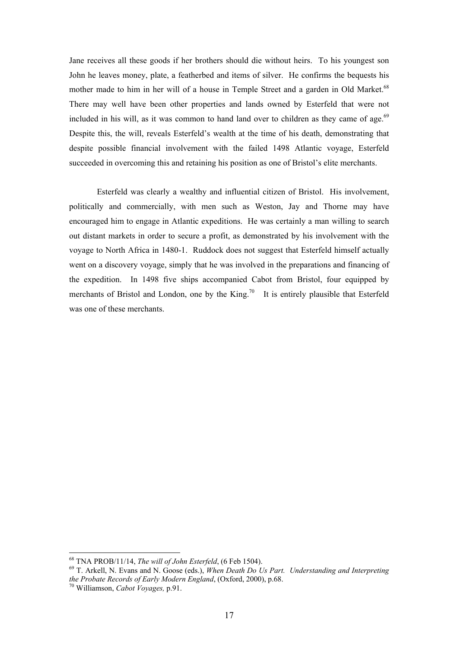Jane receives all these goods if her brothers should die without heirs. To his youngest son John he leaves money, plate, a featherbed and items of silver. He confirms the bequests his mother made to him in her will of a house in Temple Street and a garden in Old Market.<sup>68</sup> There may well have been other properties and lands owned by Esterfeld that were not included in his will, as it was common to hand land over to children as they came of age.<sup>69</sup> Despite this, the will, reveals Esterfeld's wealth at the time of his death, demonstrating that despite possible financial involvement with the failed 1498 Atlantic voyage, Esterfeld succeeded in overcoming this and retaining his position as one of Bristol's elite merchants.

Esterfeld was clearly a wealthy and influential citizen of Bristol. His involvement, politically and commercially, with men such as Weston, Jay and Thorne may have encouraged him to engage in Atlantic expeditions. He was certainly a man willing to search out distant markets in order to secure a profit, as demonstrated by his involvement with the voyage to North Africa in 1480-1. Ruddock does not suggest that Esterfeld himself actually went on a discovery voyage, simply that he was involved in the preparations and financing of the expedition. In 1498 five ships accompanied Cabot from Bristol, four equipped by merchants of Bristol and London, one by the King.<sup>70</sup> It is entirely plausible that Esterfeld was one of these merchants.

<span id="page-16-1"></span>

<span id="page-16-0"></span><sup>68</sup> TNA PROB/11/14, *The will of John Esterfeld*, (6 Feb 1504). 69 T. Arkell, N. Evans and N. Goose (eds.), *When Death Do Us Part. Understanding and Interpreting the Probate Records of Early Modern England*, (Oxford, 2000), p.68. 70 Williamson, *Cabot Voyages,* p.91.

<span id="page-16-2"></span>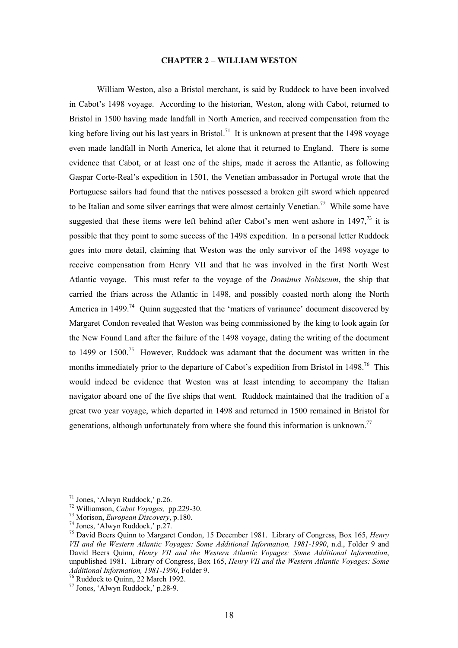#### **CHAPTER 2 – WILLIAM WESTON**

William Weston, also a Bristol merchant, is said by Ruddock to have been involved in Cabot's 1498 voyage. According to the historian, Weston, along with Cabot, returned to Bristol in 1500 having made landfall in North America, and received compensation from the king before living out his last years in Bristol.<sup>71</sup> It is unknown at present that the 1498 voyage even made landfall in North America, let alone that it returned to England. There is some evidence that Cabot, or at least one of the ships, made it across the Atlantic, as following Gaspar Corte-Real's expedition in 1501, the Venetian ambassador in Portugal wrote that the Portuguese sailors had found that the natives possessed a broken gilt sword which appeared to be Italian and some silver earrings that were almost certainly Venetian.<sup>72</sup> While some have suggested that these items were left behind after Cabot's men went ashore in  $1497<sup>73</sup>$  it is possible that they point to some success of the 1498 expedition. In a personal letter Ruddock goes into more detail, claiming that Weston was the only survivor of the 1498 voyage to receive compensation from Henry VII and that he was involved in the first North West Atlantic voyage. This must refer to the voyage of the *Dominus Nobiscum*, the ship that carried the friars across the Atlantic in 1498, and possibly coasted north along the North America in 1499<sup>74</sup> Quinn suggested that the 'matiers of variaunce' document discovered by Margaret Condon revealed that Weston was being commissioned by the king to look again for the New Found Land after the failure of the 1498 voyage, dating the writing of the document to 1499 or  $1500$ .<sup>75</sup> However, Ruddock was adamant that the document was written in the months immediately prior to the departure of Cabot's expedition from Bristol in 1498.<sup>76</sup> This would indeed be evidence that Weston was at least intending to accompany the Italian navigator aboard one of the five ships that went. Ruddock maintained that the tradition of a great two year voyage, which departed in 1498 and returned in 1500 remained in Bristol for generations, although unfortunately from where she found this information is unknown.<sup>77</sup>

<span id="page-17-0"></span><sup>&</sup>lt;sup>71</sup> Jones, 'Alwyn Ruddock,' p.26.

<span id="page-17-1"></span>

<span id="page-17-2"></span>

<span id="page-17-4"></span><span id="page-17-3"></span>

<sup>&</sup>lt;sup>72</sup> Williamson, *Cabot Voyages*, pp.229-30.<br><sup>73</sup> Morison, *European Discovery*, p.180.<br><sup>74</sup> Jones, 'Alwyn Ruddock,' p.27.<br><sup>75</sup> David Beers Quinn to Margaret Condon, 15 December 1981. Library of Congress, Box 165, *Henry VII and the Western Atlantic Voyages: Some Additional Information, 1981-1990*, n.d., Folder 9 and David Beers Quinn, *Henry VII and the Western Atlantic Voyages: Some Additional Information*, unpublished 1981. Library of Congress, Box 165, *Henry VII and the Western Atlantic Voyages: Some* 

<span id="page-17-5"></span>*Additional Information, 22 March 1992,* 77 Jones, 'Alwyn Ruddock,' p.28-9.

<span id="page-17-6"></span>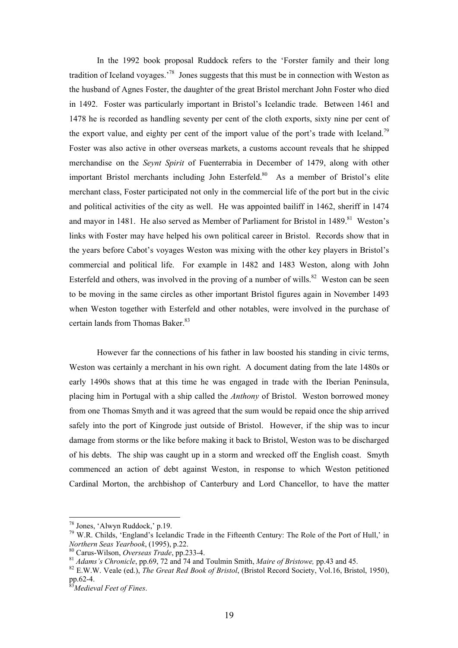In the 1992 book proposal Ruddock refers to the 'Forster family and their long tradition of Iceland voyages.'[78](#page-18-0) Jones suggests that this must be in connection with Weston as the husband of Agnes Foster, the daughter of the great Bristol merchant John Foster who died in 1492. Foster was particularly important in Bristol's Icelandic trade. Between 1461 and 1478 he is recorded as handling seventy per cent of the cloth exports, sixty nine per cent of the export value, and eighty per cent of the import value of the port's trade with Iceland.<sup>79</sup> Foster was also active in other overseas markets, a customs account reveals that he shipped merchandise on the *Seynt Spirit* of Fuenterrabia in December of 1479, along with other important Bristol merchants including John Esterfeld.<sup>80</sup> As a member of Bristol's elite merchant class, Foster participated not only in the commercial life of the port but in the civic and political activities of the city as well. He was appointed bailiff in 1462, sheriff in 1474 and mayor in 1481. He also served as Member of Parliament for Bristol in 1489.<sup>81</sup> Weston's links with Foster may have helped his own political career in Bristol. Records show that in the years before Cabot's voyages Weston was mixing with the other key players in Bristol's commercial and political life. For example in 1482 and 1483 Weston, along with John Esterfeld and others, was involved in the proving of a number of wills. $82$  Weston can be seen to be moving in the same circles as other important Bristol figures again in November 1493 when Weston together with Esterfeld and other notables, were involved in the purchase of certain lands from Thomas Baker.<sup>[83](#page-18-5)</sup>

However far the connections of his father in law boosted his standing in civic terms, Weston was certainly a merchant in his own right. A document dating from the late 1480s or early 1490s shows that at this time he was engaged in trade with the Iberian Peninsula, placing him in Portugal with a ship called the *Anthony* of Bristol. Weston borrowed money from one Thomas Smyth and it was agreed that the sum would be repaid once the ship arrived safely into the port of Kingrode just outside of Bristol. However, if the ship was to incur damage from storms or the like before making it back to Bristol, Weston was to be discharged of his debts. The ship was caught up in a storm and wrecked off the English coast. Smyth commenced an action of debt against Weston, in response to which Weston petitioned Cardinal Morton, the archbishop of Canterbury and Lord Chancellor, to have the matter

<span id="page-18-1"></span><span id="page-18-0"></span>

<sup>&</sup>lt;sup>78</sup> Jones, 'Alwyn Ruddock,' p.19.<br><sup>79</sup> W.R. Childs, 'England's Icelandic Trade in the Fifteenth Century: The Role of the Port of Hull,' in<br>*Northern Seas Yearbook*, (1995), p.22.

<span id="page-18-2"></span>

<span id="page-18-4"></span><span id="page-18-3"></span>

<sup>&</sup>lt;sup>80</sup> Carus-Wilson, *Overseas Trade*, pp.233-4.<br><sup>81</sup> *Adams's Chronicle*, pp.69, 72 and 74 and Toulmin Smith, *Maire of Bristowe*, pp.43 and 45.<br><sup>82</sup> E.W.W. Veale (ed.), *The Great Red Book of Bristol*, (Bristol Record Soc pp.62-4. 83*Medieval Feet of Fines*.

<span id="page-18-5"></span>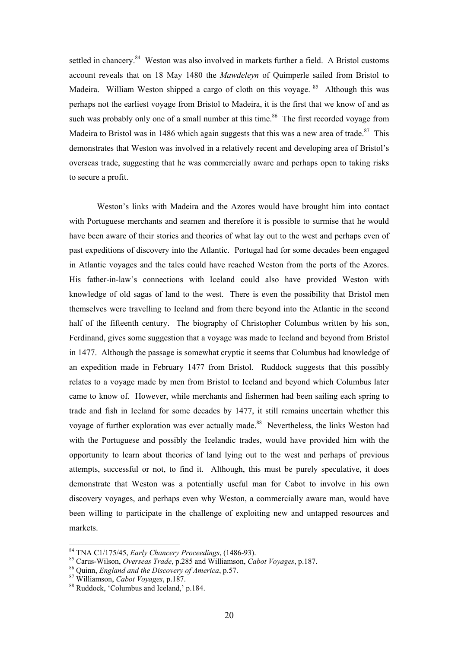settled in chancery.<sup>84</sup> Weston was also involved in markets further a field. A Bristol customs account reveals that on 18 May 1480 the *Mawdeleyn* of Quimperle sailed from Bristol to Madeira. William Weston shipped a cargo of cloth on this voyage. <sup>85</sup> Although this was perhaps not the earliest voyage from Bristol to Madeira, it is the first that we know of and as such was probably only one of a small number at this time.<sup>86</sup> The first recorded voyage from Madeira to Bristol was in 1486 which again suggests that this was a new area of trade.<sup>87</sup> This demonstrates that Weston was involved in a relatively recent and developing area of Bristol's overseas trade, suggesting that he was commercially aware and perhaps open to taking risks to secure a profit.

Weston's links with Madeira and the Azores would have brought him into contact with Portuguese merchants and seamen and therefore it is possible to surmise that he would have been aware of their stories and theories of what lay out to the west and perhaps even of past expeditions of discovery into the Atlantic. Portugal had for some decades been engaged in Atlantic voyages and the tales could have reached Weston from the ports of the Azores. His father-in-law's connections with Iceland could also have provided Weston with knowledge of old sagas of land to the west. There is even the possibility that Bristol men themselves were travelling to Iceland and from there beyond into the Atlantic in the second half of the fifteenth century. The biography of Christopher Columbus written by his son, Ferdinand, gives some suggestion that a voyage was made to Iceland and beyond from Bristol in 1477. Although the passage is somewhat cryptic it seems that Columbus had knowledge of an expedition made in February 1477 from Bristol. Ruddock suggests that this possibly relates to a voyage made by men from Bristol to Iceland and beyond which Columbus later came to know of. However, while merchants and fishermen had been sailing each spring to trade and fish in Iceland for some decades by 1477, it still remains uncertain whether this voyage of further exploration was ever actually made.<sup>88</sup> Nevertheless, the links Weston had with the Portuguese and possibly the Icelandic trades, would have provided him with the opportunity to learn about theories of land lying out to the west and perhaps of previous attempts, successful or not, to find it. Although, this must be purely speculative, it does demonstrate that Weston was a potentially useful man for Cabot to involve in his own discovery voyages, and perhaps even why Weston, a commercially aware man, would have been willing to participate in the challenge of exploiting new and untapped resources and markets.

<span id="page-19-1"></span><span id="page-19-0"></span>

<sup>&</sup>lt;sup>84</sup> TNA C1/175/45, *Early Chancery Proceedings*, (1486-93).<br><sup>85</sup> Carus-Wilson, *Overseas Trade*, p.285 and Williamson, *Cabot Voyages*, p.187.<br><sup>86</sup> Quinn, *England and the Discovery of America*, p.57.<br><sup>87</sup> Williamson, *C* 

<span id="page-19-2"></span>

<span id="page-19-3"></span>

<span id="page-19-4"></span>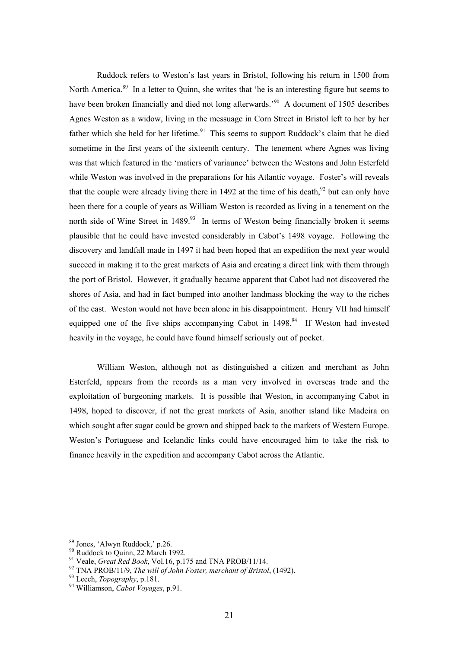Ruddock refers to Weston's last years in Bristol, following his return in 1500 from North America.<sup>89</sup> In a letter to Quinn, she writes that 'he is an interesting figure but seems to have been broken financially and died not long afterwards.<sup>90</sup> A document of 1505 describes Agnes Weston as a widow, living in the messuage in Corn Street in Bristol left to her by her father which she held for her lifetime.<sup>91</sup> This seems to support Ruddock's claim that he died sometime in the first years of the sixteenth century. The tenement where Agnes was living was that which featured in the 'matiers of variaunce' between the Westons and John Esterfeld while Weston was involved in the preparations for his Atlantic voyage. Foster's will reveals that the couple were already living there in 14[92](#page-20-3) at the time of his death.<sup>92</sup> but can only have been there for a couple of years as William Weston is recorded as living in a tenement on the north side of Wine Street in  $1489$ <sup>93</sup> In terms of Weston being financially broken it seems plausible that he could have invested considerably in Cabot's 1498 voyage. Following the discovery and landfall made in 1497 it had been hoped that an expedition the next year would succeed in making it to the great markets of Asia and creating a direct link with them through the port of Bristol. However, it gradually became apparent that Cabot had not discovered the shores of Asia, and had in fact bumped into another landmass blocking the way to the riches of the east. Weston would not have been alone in his disappointment. Henry VII had himself equipped one of the five ships accompanying Cabot in  $1498<sup>94</sup>$  If Weston had invested heavily in the voyage, he could have found himself seriously out of pocket.

William Weston, although not as distinguished a citizen and merchant as John Esterfeld, appears from the records as a man very involved in overseas trade and the exploitation of burgeoning markets. It is possible that Weston, in accompanying Cabot in 1498, hoped to discover, if not the great markets of Asia, another island like Madeira on which sought after sugar could be grown and shipped back to the markets of Western Europe. Weston's Portuguese and Icelandic links could have encouraged him to take the risk to finance heavily in the expedition and accompany Cabot across the Atlantic.

<span id="page-20-0"></span><sup>&</sup>lt;sup>89</sup> Jones, 'Alwyn Ruddock,' p.26.

<span id="page-20-1"></span>

<span id="page-20-3"></span><span id="page-20-2"></span>

<sup>&</sup>lt;sup>90</sup> Ruddock to Quinn, 22 March 1992.<br><sup>91</sup> Veale, *Great Red Book*, Vol.16, p.175 and TNA PROB/11/14.<br><sup>92</sup> TNA PROB/11/9, *The will of John Foster, merchant of Bristol*, (1492).<br><sup>93</sup> Leech, *Topography*, p.181.<br><sup>94</sup> Willi

<span id="page-20-4"></span>

<span id="page-20-5"></span>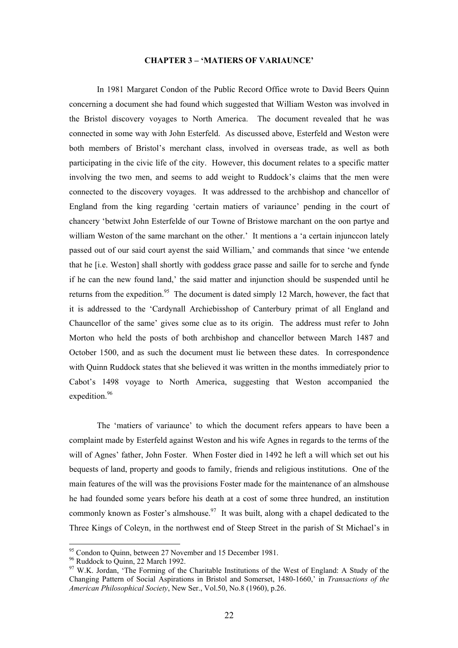#### **CHAPTER 3 – 'MATIERS OF VARIAUNCE'**

In 1981 Margaret Condon of the Public Record Office wrote to David Beers Quinn concerning a document she had found which suggested that William Weston was involved in the Bristol discovery voyages to North America. The document revealed that he was connected in some way with John Esterfeld. As discussed above, Esterfeld and Weston were both members of Bristol's merchant class, involved in overseas trade, as well as both participating in the civic life of the city. However, this document relates to a specific matter involving the two men, and seems to add weight to Ruddock's claims that the men were connected to the discovery voyages. It was addressed to the archbishop and chancellor of England from the king regarding 'certain matiers of variaunce' pending in the court of chancery 'betwixt John Esterfelde of our Towne of Bristowe marchant on the oon partye and william Weston of the same marchant on the other.' It mentions a 'a certain injunccon lately passed out of our said court ayenst the said William,' and commands that since 'we entende that he [i.e. Weston] shall shortly with goddess grace passe and saille for to serche and fynde if he can the new found land,' the said matter and injunction should be suspended until he returns from the expedition.<sup>95</sup> The document is dated simply 12 March, however, the fact that it is addressed to the 'Cardynall Archiebisshop of Canterbury primat of all England and Chauncellor of the same' gives some clue as to its origin. The address must refer to John Morton who held the posts of both archbishop and chancellor between March 1487 and October 1500, and as such the document must lie between these dates. In correspondence with Quinn Ruddock states that she believed it was written in the months immediately prior to Cabot's 1498 voyage to North America, suggesting that Weston accompanied the expedition.<sup>[96](#page-21-1)</sup>

The 'matiers of variaunce' to which the document refers appears to have been a complaint made by Esterfeld against Weston and his wife Agnes in regards to the terms of the will of Agnes' father, John Foster. When Foster died in 1492 he left a will which set out his bequests of land, property and goods to family, friends and religious institutions. One of the main features of the will was the provisions Foster made for the maintenance of an almshouse he had founded some years before his death at a cost of some three hundred, an institution commonly known as Foster's almshouse.<sup>97</sup> It was built, along with a chapel dedicated to the Three Kings of Coleyn, in the northwest end of Steep Street in the parish of St Michael's in

<span id="page-21-0"></span>

<span id="page-21-2"></span><span id="page-21-1"></span>

<sup>&</sup>lt;sup>95</sup> Condon to Quinn, between 27 November and 15 December 1981.<br><sup>96</sup> Ruddock to Quinn, 22 March 1992.<br><sup>97</sup> W.K. Jordan, 'The Forming of the Charitable Institutions of the West of England: A Study of the Changing Pattern of Social Aspirations in Bristol and Somerset, 1480-1660,' in *Transactions of the American Philosophical Society*, New Ser., Vol.50, No.8 (1960), p.26.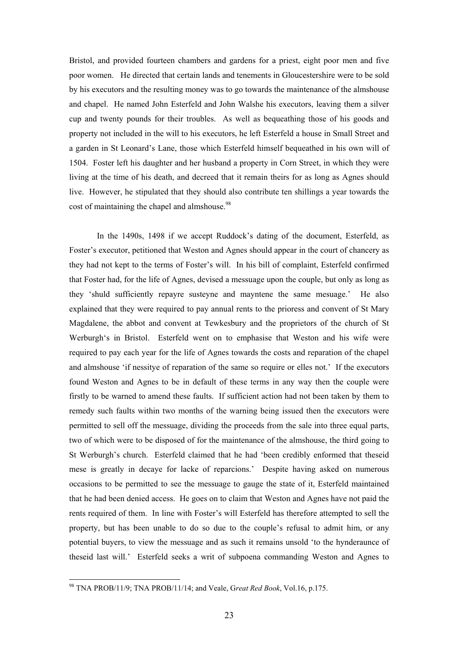Bristol, and provided fourteen chambers and gardens for a priest, eight poor men and five poor women. He directed that certain lands and tenements in Gloucestershire were to be sold by his executors and the resulting money was to go towards the maintenance of the almshouse and chapel. He named John Esterfeld and John Walshe his executors, leaving them a silver cup and twenty pounds for their troubles. As well as bequeathing those of his goods and property not included in the will to his executors, he left Esterfeld a house in Small Street and a garden in St Leonard's Lane, those which Esterfeld himself bequeathed in his own will of 1504. Foster left his daughter and her husband a property in Corn Street, in which they were living at the time of his death, and decreed that it remain theirs for as long as Agnes should live. However, he stipulated that they should also contribute ten shillings a year towards the cost of maintaining the chapel and almshouse.<sup>98</sup>

In the 1490s, 1498 if we accept Ruddock's dating of the document, Esterfeld, as Foster's executor, petitioned that Weston and Agnes should appear in the court of chancery as they had not kept to the terms of Foster's will. In his bill of complaint, Esterfeld confirmed that Foster had, for the life of Agnes, devised a messuage upon the couple, but only as long as they 'shuld sufficiently repayre susteyne and mayntene the same mesuage.' He also explained that they were required to pay annual rents to the prioress and convent of St Mary Magdalene, the abbot and convent at Tewkesbury and the proprietors of the church of St Werburgh's in Bristol. Esterfeld went on to emphasise that Weston and his wife were required to pay each year for the life of Agnes towards the costs and reparation of the chapel and almshouse 'if nessitye of reparation of the same so require or elles not.' If the executors found Weston and Agnes to be in default of these terms in any way then the couple were firstly to be warned to amend these faults. If sufficient action had not been taken by them to remedy such faults within two months of the warning being issued then the executors were permitted to sell off the messuage, dividing the proceeds from the sale into three equal parts, two of which were to be disposed of for the maintenance of the almshouse, the third going to St Werburgh's church. Esterfeld claimed that he had 'been credibly enformed that theseid mese is greatly in decaye for lacke of reparcions.' Despite having asked on numerous occasions to be permitted to see the messuage to gauge the state of it, Esterfeld maintained that he had been denied access. He goes on to claim that Weston and Agnes have not paid the rents required of them. In line with Foster's will Esterfeld has therefore attempted to sell the property, but has been unable to do so due to the couple's refusal to admit him, or any potential buyers, to view the messuage and as such it remains unsold 'to the hynderaunce of theseid last will.' Esterfeld seeks a writ of subpoena commanding Weston and Agnes to

<span id="page-22-0"></span><sup>98</sup> TNA PROB/11/9; TNA PROB/11/14; and Veale, G*reat Red Book*, Vol.16, p.175.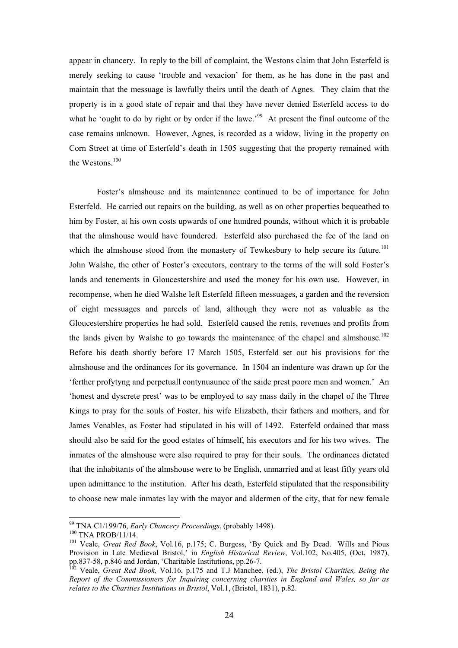appear in chancery. In reply to the bill of complaint, the Westons claim that John Esterfeld is merely seeking to cause 'trouble and vexacion' for them, as he has done in the past and maintain that the messuage is lawfully theirs until the death of Agnes. They claim that the property is in a good state of repair and that they have never denied Esterfeld access to do what he 'ought to do by right or by order if the lawe.<sup>99</sup> At present the final outcome of the case remains unknown. However, Agnes, is recorded as a widow, living in the property on Corn Street at time of Esterfeld's death in 1505 suggesting that the property remained with the Westons.<sup>[100](#page-23-1)</sup>

Foster's almshouse and its maintenance continued to be of importance for John Esterfeld. He carried out repairs on the building, as well as on other properties bequeathed to him by Foster, at his own costs upwards of one hundred pounds, without which it is probable that the almshouse would have foundered. Esterfeld also purchased the fee of the land on which the almshouse stood from the monastery of Tewkesbury to help secure its future.<sup>101</sup> John Walshe, the other of Foster's executors, contrary to the terms of the will sold Foster's lands and tenements in Gloucestershire and used the money for his own use. However, in recompense, when he died Walshe left Esterfeld fifteen messuages, a garden and the reversion of eight messuages and parcels of land, although they were not as valuable as the Gloucestershire properties he had sold. Esterfeld caused the rents, revenues and profits from the lands given by Walshe to go towards the maintenance of the chapel and almshouse.<sup>102</sup> Before his death shortly before 17 March 1505, Esterfeld set out his provisions for the almshouse and the ordinances for its governance. In 1504 an indenture was drawn up for the 'ferther profytyng and perpetuall contynuaunce of the saide prest poore men and women.' An 'honest and dyscrete prest' was to be employed to say mass daily in the chapel of the Three Kings to pray for the souls of Foster, his wife Elizabeth, their fathers and mothers, and for James Venables, as Foster had stipulated in his will of 1492. Esterfeld ordained that mass should also be said for the good estates of himself, his executors and for his two wives. The inmates of the almshouse were also required to pray for their souls. The ordinances dictated that the inhabitants of the almshouse were to be English, unmarried and at least fifty years old upon admittance to the institution. After his death, Esterfeld stipulated that the responsibility to choose new male inmates lay with the mayor and aldermen of the city, that for new female

<span id="page-23-0"></span>

<span id="page-23-2"></span><span id="page-23-1"></span>

<sup>&</sup>lt;sup>99</sup> TNA C1/199/76, *Early Chancery Proceedings*, (probably 1498).<br><sup>100</sup> TNA PROB/11/14.<br><sup>101</sup> Veale, *Great Red Book*, Vol.16, p.175; C. Burgess, 'By Quick and By Dead. Wills and Pious Provision in Late Medieval Bristol,' in *English Historical Review*, Vol.102, No.405, (Oct, 1987), pp.837-58, p.846 and Jordan, 'Charitable Institutions, pp.26-7.<br><sup>102</sup> Veale, *Great Red Book*, Vol.16, p.175 and T.J Manchee, (ed.), *The Bristol Charities, Being the* 

<span id="page-23-3"></span>*Report of the Commissioners for Inquiring concerning charities in England and Wales, so far as relates to the Charities Institutions in Bristol*, Vol.1, (Bristol, 1831), p.82.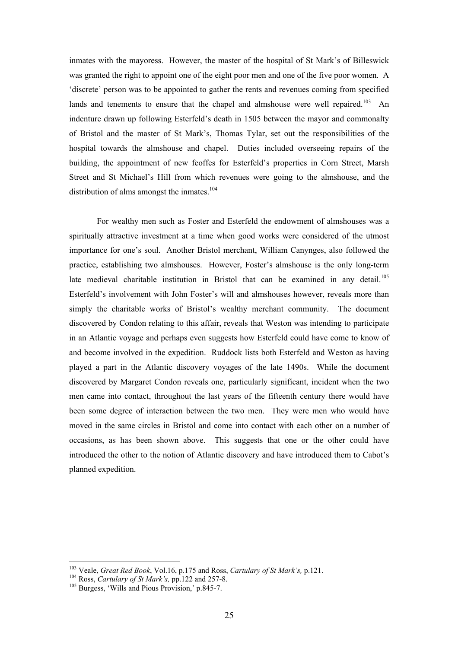inmates with the mayoress. However, the master of the hospital of St Mark's of Billeswick was granted the right to appoint one of the eight poor men and one of the five poor women. A 'discrete' person was to be appointed to gather the rents and revenues coming from specified lands and tenements to ensure that the chapel and almshouse were well repaired.<sup>103</sup> An indenture drawn up following Esterfeld's death in 1505 between the mayor and commonalty of Bristol and the master of St Mark's, Thomas Tylar, set out the responsibilities of the hospital towards the almshouse and chapel. Duties included overseeing repairs of the building, the appointment of new feoffes for Esterfeld's properties in Corn Street, Marsh Street and St Michael's Hill from which revenues were going to the almshouse, and the distribution of alms amongst the inmates.<sup>[104](#page-24-1)</sup>

For wealthy men such as Foster and Esterfeld the endowment of almshouses was a spiritually attractive investment at a time when good works were considered of the utmost importance for one's soul. Another Bristol merchant, William Canynges, also followed the practice, establishing two almshouses. However, Foster's almshouse is the only long-term late medieval charitable institution in Bristol that can be examined in any detail.<sup>105</sup> Esterfeld's involvement with John Foster's will and almshouses however, reveals more than simply the charitable works of Bristol's wealthy merchant community. The document discovered by Condon relating to this affair, reveals that Weston was intending to participate in an Atlantic voyage and perhaps even suggests how Esterfeld could have come to know of and become involved in the expedition. Ruddock lists both Esterfeld and Weston as having played a part in the Atlantic discovery voyages of the late 1490s. While the document discovered by Margaret Condon reveals one, particularly significant, incident when the two men came into contact, throughout the last years of the fifteenth century there would have been some degree of interaction between the two men. They were men who would have moved in the same circles in Bristol and come into contact with each other on a number of occasions, as has been shown above. This suggests that one or the other could have introduced the other to the notion of Atlantic discovery and have introduced them to Cabot's planned expedition.

<span id="page-24-0"></span><sup>&</sup>lt;sup>103</sup> Veale, *Great Red Book*, Vol.16, p.175 and Ross, *Cartulary of St Mark's*, p.121.<br><sup>104</sup> Ross, *Cartulary of St Mark's*, pp.122 and 257-8.<br><sup>105</sup> Burgess, 'Wills and Pious Provision,' p.845-7.

<span id="page-24-1"></span>

<span id="page-24-2"></span>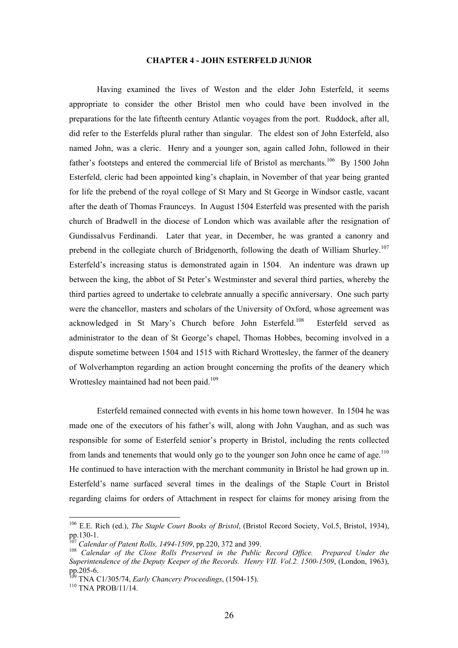## **CHAPTER 4 - JOHN ESTERFELD JUNIOR**

Having examined the lives of Weston and the elder John Esterfeld, it seems appropriate to consider the other Bristol men who could have been involved in the preparations for the late fifteenth century Atlantic voyages from the port. Ruddock, after all, did refer to the Esterfelds plural rather than singular. The eldest son of John Esterfeld, also named John, was a cleric. Henry and a younger son, again called John, followed in their father's footsteps and entered the commercial life of Bristol as merchants.<sup>106</sup> By 1500 John Esterfeld, cleric had been appointed king's chaplain, in November of that year being granted for life the prebend of the royal college of St Mary and St George in Windsor castle, vacant after the death of Thomas Fraunceys. In August 1504 Esterfeld was presented with the parish church of Bradwell in the diocese of London which was available after the resignation of Gundissalvus Ferdinandi. Later that year, in December, he was granted a canonry and prebend in the collegiate church of Bridgenorth, following the death of William Shurley.<sup>107</sup> Esterfeld's increasing status is demonstrated again in 1504. An indenture was drawn up between the king, the abbot of St Peter's Westminster and several third parties, whereby the third parties agreed to undertake to celebrate annually a specific anniversary. One such party were the chancellor, masters and scholars of the University of Oxford, whose agreement was acknowledged in St Mary's Church before John Esterfeld.[108](#page-25-2) Esterfeld served as administrator to the dean of St George's chapel, Thomas Hobbes, becoming involved in a dispute sometime between 1504 and 1515 with Richard Wrottesley, the farmer of the deanery of Wolverhampton regarding an action brought concerning the profits of the deanery which Wrottesley maintained had not been paid.<sup>109</sup>

Esterfeld remained connected with events in his home town however. In 1504 he was made one of the executors of his father's will, along with John Vaughan, and as such was responsible for some of Esterfeld senior's property in Bristol, including the rents collected from lands and tenements that would only go to the younger son John once he came of age. $110$ He continued to have interaction with the merchant community in Bristol he had grown up in. Esterfeld's name surfaced several times in the dealings of the Staple Court in Bristol regarding claims for orders of Attachment in respect for claims for money arising from the

<span id="page-25-0"></span><sup>&</sup>lt;sup>106</sup> E.E. Rich (ed.), *The Staple Court Books of Bristol*, (Bristol Record Society, Vol.5, Bristol, 1934), pp. 130-1.

<span id="page-25-2"></span><span id="page-25-1"></span>

<sup>&</sup>lt;sup>107</sup> Calendar of Patent Rolls, 1494-1509, pp.220, 372 and 399.<br><sup>108</sup> Calendar of the Close Rolls Preserved in the Public Record Office. Prepared Under the *Superintendence of the Deputy Keeper of the Records. Henry VII. Vol.2. 1500-1509*, (London, 1963), pp.205-6.

<span id="page-25-3"></span><sup>&</sup>lt;sup>109</sup> TNA C1/305/74, *Early Chancery Proceedings*, (1504-15).<br><sup>110</sup> TNA PROB/11/14.

<span id="page-25-4"></span>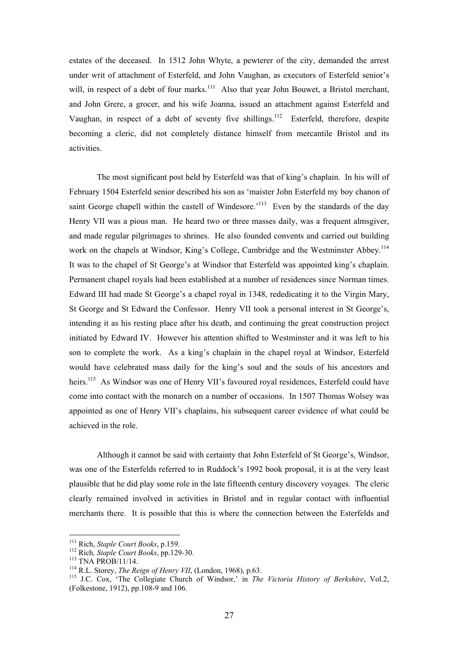estates of the deceased. In 1512 John Whyte, a pewterer of the city, demanded the arrest under writ of attachment of Esterfeld, and John Vaughan, as executors of Esterfeld senior's will, in respect of a debt of four marks.<sup>111</sup> Also that year John Bouwet, a Bristol merchant, and John Grere, a grocer, and his wife Joanna, issued an attachment against Esterfeld and Vaughan, in respect of a debt of seventy five shillings.<sup>112</sup> Esterfeld, therefore, despite becoming a cleric, did not completely distance himself from mercantile Bristol and its activities.

The most significant post held by Esterfeld was that of king's chaplain. In his will of February 1504 Esterfeld senior described his son as 'maister John Esterfeld my boy chanon of saint George chapell within the castell of Windesore.<sup>113</sup> Even by the standards of the day Henry VII was a pious man. He heard two or three masses daily, was a frequent almsgiver, and made regular pilgrimages to shrines. He also founded convents and carried out building work on the chapels at Windsor, King's College, Cambridge and the Westminster Abbey.<sup>114</sup> It was to the chapel of St George's at Windsor that Esterfeld was appointed king's chaplain. Permanent chapel royals had been established at a number of residences since Norman times. Edward III had made St George's a chapel royal in 1348, rededicating it to the Virgin Mary, St George and St Edward the Confessor. Henry VII took a personal interest in St George's, intending it as his resting place after his death, and continuing the great construction project initiated by Edward IV. However his attention shifted to Westminster and it was left to his son to complete the work. As a king's chaplain in the chapel royal at Windsor, Esterfeld would have celebrated mass daily for the king's soul and the souls of his ancestors and heirs.<sup>115</sup> As Windsor was one of Henry VII's favoured royal residences, Esterfeld could have come into contact with the monarch on a number of occasions. In 1507 Thomas Wolsey was appointed as one of Henry VII's chaplains, his subsequent career evidence of what could be achieved in the role.

Although it cannot be said with certainty that John Esterfeld of St George's, Windsor, was one of the Esterfelds referred to in Ruddock's 1992 book proposal, it is at the very least plausible that he did play some role in the late fifteenth century discovery voyages. The cleric clearly remained involved in activities in Bristol and in regular contact with influential merchants there. It is possible that this is where the connection between the Esterfelds and

<span id="page-26-0"></span><sup>&</sup>lt;sup>111</sup> Rich, Staple Court Books, p.159.

<span id="page-26-1"></span>

<span id="page-26-2"></span>

<span id="page-26-4"></span><span id="page-26-3"></span>

<sup>&</sup>lt;sup>112</sup> Rich, *Staple Court Books*, pp.129-30.<br><sup>113</sup> TNA PROB/11/14.<br><sup>114</sup> R.L. Storey, *The Reign of Henry VII*, (London, 1968), p.63.<br><sup>115</sup> J.C. Cox, 'The Collegiate Church of Windsor,' in *The Victoria History of Berkshi* (Folkestone, 1912), pp.108-9 and 106.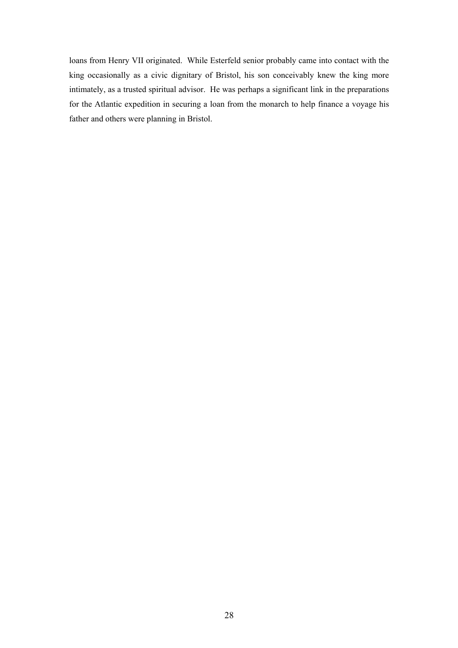loans from Henry VII originated. While Esterfeld senior probably came into contact with the king occasionally as a civic dignitary of Bristol, his son conceivably knew the king more intimately, as a trusted spiritual advisor. He was perhaps a significant link in the preparations for the Atlantic expedition in securing a loan from the monarch to help finance a voyage his father and others were planning in Bristol.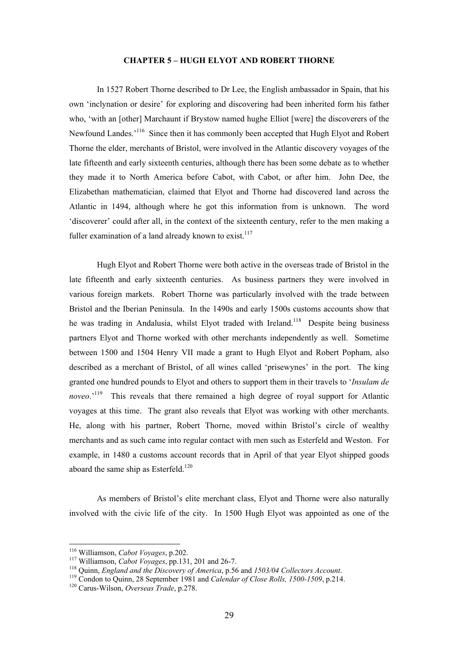### **CHAPTER 5 – HUGH ELYOT AND ROBERT THORNE**

In 1527 Robert Thorne described to Dr Lee, the English ambassador in Spain, that his own 'inclynation or desire' for exploring and discovering had been inherited form his father who, 'with an [other] Marchaunt if Brystow named hughe Elliot [were] the discoverers of the Newfound Landes.'[116](#page-28-0) Since then it has commonly been accepted that Hugh Elyot and Robert Thorne the elder, merchants of Bristol, were involved in the Atlantic discovery voyages of the late fifteenth and early sixteenth centuries, although there has been some debate as to whether they made it to North America before Cabot, with Cabot, or after him. John Dee, the Elizabethan mathematician, claimed that Elyot and Thorne had discovered land across the Atlantic in 1494, although where he got this information from is unknown. The word 'discoverer' could after all, in the context of the sixteenth century, refer to the men making a fuller examination of a land already known to exist.<sup>[117](#page-28-1)</sup>

Hugh Elyot and Robert Thorne were both active in the overseas trade of Bristol in the late fifteenth and early sixteenth centuries. As business partners they were involved in various foreign markets. Robert Thorne was particularly involved with the trade between Bristol and the Iberian Peninsula. In the 1490s and early 1500s customs accounts show that he was trading in Andalusia, whilst Elyot traded with Ireland.<sup>118</sup> Despite being business partners Elyot and Thorne worked with other merchants independently as well. Sometime between 1500 and 1504 Henry VII made a grant to Hugh Elyot and Robert Popham, also described as a merchant of Bristol, of all wines called 'prisewynes' in the port. The king granted one hundred pounds to Elyot and others to support them in their travels to '*Insulam de noveo*.<sup>'119</sup> This reveals that there remained a high degree of royal support for Atlantic voyages at this time. The grant also reveals that Elyot was working with other merchants. He, along with his partner, Robert Thorne, moved within Bristol's circle of wealthy merchants and as such came into regular contact with men such as Esterfeld and Weston. For example, in 1480 a customs account records that in April of that year Elyot shipped goods aboard the same ship as Esterfeld.<sup>[120](#page-28-4)</sup>

As members of Bristol's elite merchant class, Elyot and Thorne were also naturally involved with the civic life of the city. In 1500 Hugh Elyot was appointed as one of the

<span id="page-28-0"></span><sup>&</sup>lt;sup>116</sup> Williamson, Cabot Voyages, p.202.

<span id="page-28-3"></span><span id="page-28-2"></span>

<span id="page-28-1"></span><sup>&</sup>lt;sup>117</sup> Williamson, *Cabot Voyages*, pp.131, 201 and 26-7.<br><sup>118</sup> Quinn, *England and the Discovery of America*, p.56 and *1503/04 Collectors Account*.<br><sup>119</sup> Condon to Quinn, 28 September 1981 and *Calendar of Close Rolls*,

<span id="page-28-4"></span>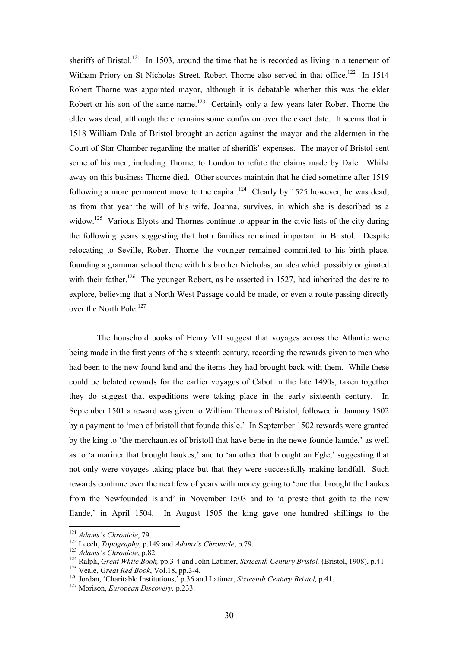sheriffs of Bristol.<sup>121</sup> In 1503, around the time that he is recorded as living in a tenement of Witham Priory on St Nicholas Street, Robert Thorne also served in that office.<sup>122</sup> In 1514 Robert Thorne was appointed mayor, although it is debatable whether this was the elder Robert or his son of the same name.<sup>123</sup> Certainly only a few years later Robert Thorne the elder was dead, although there remains some confusion over the exact date. It seems that in 1518 William Dale of Bristol brought an action against the mayor and the aldermen in the Court of Star Chamber regarding the matter of sheriffs' expenses. The mayor of Bristol sent some of his men, including Thorne, to London to refute the claims made by Dale. Whilst away on this business Thorne died. Other sources maintain that he died sometime after 1519 following a more permanent move to the capital.<sup>124</sup> Clearly by 1525 however, he was dead, as from that year the will of his wife, Joanna, survives, in which she is described as a widow.<sup>125</sup> Various Elyots and Thornes continue to appear in the civic lists of the city during the following years suggesting that both families remained important in Bristol. Despite relocating to Seville, Robert Thorne the younger remained committed to his birth place, founding a grammar school there with his brother Nicholas, an idea which possibly originated with their father.<sup>126</sup> The younger Robert, as he asserted in 1527, had inherited the desire to explore, believing that a North West Passage could be made, or even a route passing directly over the North Pole.<sup>127</sup>

The household books of Henry VII suggest that voyages across the Atlantic were being made in the first years of the sixteenth century, recording the rewards given to men who had been to the new found land and the items they had brought back with them. While these could be belated rewards for the earlier voyages of Cabot in the late 1490s, taken together they do suggest that expeditions were taking place in the early sixteenth century. In September 1501 a reward was given to William Thomas of Bristol, followed in January 1502 by a payment to 'men of bristoll that founde thisle.' In September 1502 rewards were granted by the king to 'the merchauntes of bristoll that have bene in the newe founde launde,' as well as to 'a mariner that brought haukes,' and to 'an other that brought an Egle,' suggesting that not only were voyages taking place but that they were successfully making landfall. Such rewards continue over the next few of years with money going to 'one that brought the haukes from the Newfounded Island' in November 1503 and to 'a preste that goith to the new Ilande,' in April 1504. In August 1505 the king gave one hundred shillings to the

<span id="page-29-0"></span><sup>&</sup>lt;sup>121</sup> Adams's Chronicle, 79.

<span id="page-29-1"></span>

<span id="page-29-3"></span><span id="page-29-2"></span>

<sup>&</sup>lt;sup>122</sup> Leech, *Topography*, p.149 and *Adams's Chronicle*, p.79.<br><sup>123</sup> *Adams's Chronicle*, p.82.<br><sup>124</sup> Ralph, *Great White Book*, pp.3-4 and John Latimer, *Sixteenth Century Bristol*, (Bristol, 1908), p.41.<br><sup>125</sup> Veale,

<span id="page-29-5"></span><span id="page-29-4"></span>

<span id="page-29-6"></span>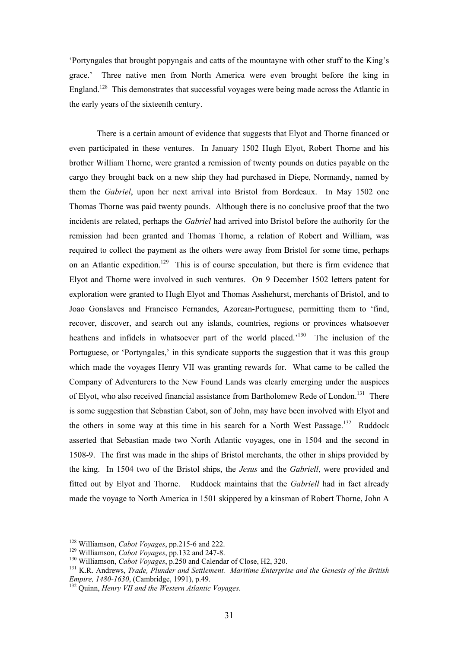'Portyngales that brought popyngais and catts of the mountayne with other stuff to the King's grace.' Three native men from North America were even brought before the king in England.<sup>128</sup> This demonstrates that successful voyages were being made across the Atlantic in the early years of the sixteenth century.

There is a certain amount of evidence that suggests that Elyot and Thorne financed or even participated in these ventures. In January 1502 Hugh Elyot, Robert Thorne and his brother William Thorne, were granted a remission of twenty pounds on duties payable on the cargo they brought back on a new ship they had purchased in Diepe, Normandy, named by them the *Gabriel*, upon her next arrival into Bristol from Bordeaux. In May 1502 one Thomas Thorne was paid twenty pounds. Although there is no conclusive proof that the two incidents are related, perhaps the *Gabriel* had arrived into Bristol before the authority for the remission had been granted and Thomas Thorne, a relation of Robert and William, was required to collect the payment as the others were away from Bristol for some time, perhaps on an Atlantic expedition.<sup>129</sup> This is of course speculation, but there is firm evidence that Elyot and Thorne were involved in such ventures. On 9 December 1502 letters patent for exploration were granted to Hugh Elyot and Thomas Asshehurst, merchants of Bristol, and to Joao Gonslaves and Francisco Fernandes, Azorean-Portuguese, permitting them to 'find, recover, discover, and search out any islands, countries, regions or provinces whatsoever heathens and infidels in whatsoever part of the world placed.<sup>130</sup> The inclusion of the Portuguese, or 'Portyngales,' in this syndicate supports the suggestion that it was this group which made the voyages Henry VII was granting rewards for. What came to be called the Company of Adventurers to the New Found Lands was clearly emerging under the auspices of Elyot, who also received financial assistance from Bartholomew Rede of London.<sup>131</sup> There is some suggestion that Sebastian Cabot, son of John, may have been involved with Elyot and the others in some way at this time in his search for a North West Passage.<sup>132</sup> Ruddock asserted that Sebastian made two North Atlantic voyages, one in 1504 and the second in 1508-9. The first was made in the ships of Bristol merchants, the other in ships provided by the king. In 1504 two of the Bristol ships, the *Jesus* and the *Gabriell*, were provided and fitted out by Elyot and Thorne. Ruddock maintains that the *Gabriell* had in fact already made the voyage to North America in 1501 skippered by a kinsman of Robert Thorne, John A

<span id="page-30-0"></span><sup>&</sup>lt;sup>128</sup> Williamson, *Cabot Voyages*, pp.215-6 and 222.

<span id="page-30-3"></span><span id="page-30-2"></span>

<span id="page-30-1"></span><sup>&</sup>lt;sup>129</sup> Williamson, *Cabot Voyages*, pp.132 and 247-8.<br><sup>130</sup> Williamson, *Cabot Voyages*, p.250 and Calendar of Close, H2, 320.<br><sup>131</sup> K.R. Andrews, *Trade, Plunder and Settlement. Maritime Enterprise and the Genesis of the* 

<span id="page-30-4"></span><sup>&</sup>lt;sup>132</sup> Quinn, *Henry VII and the Western Atlantic Voyages.*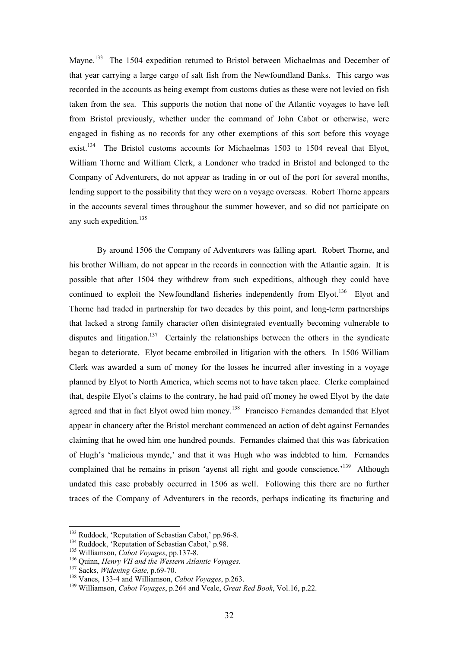Mayne.<sup>133</sup> The 1504 expedition returned to Bristol between Michaelmas and December of that year carrying a large cargo of salt fish from the Newfoundland Banks. This cargo was recorded in the accounts as being exempt from customs duties as these were not levied on fish taken from the sea. This supports the notion that none of the Atlantic voyages to have left from Bristol previously, whether under the command of John Cabot or otherwise, were engaged in fishing as no records for any other exemptions of this sort before this voyage exist.<sup>134</sup> The Bristol customs accounts for Michaelmas 1503 to 1504 reveal that Elyot, William Thorne and William Clerk, a Londoner who traded in Bristol and belonged to the Company of Adventurers, do not appear as trading in or out of the port for several months, lending support to the possibility that they were on a voyage overseas. Robert Thorne appears in the accounts several times throughout the summer however, and so did not participate on any such expedition.<sup>[135](#page-31-2)</sup>

By around 1506 the Company of Adventurers was falling apart. Robert Thorne, and his brother William, do not appear in the records in connection with the Atlantic again. It is possible that after 1504 they withdrew from such expeditions, although they could have continued to exploit the Newfoundland fisheries independently from Elyot.<sup>136</sup> Elyot and Thorne had traded in partnership for two decades by this point, and long-term partnerships that lacked a strong family character often disintegrated eventually becoming vulnerable to disputes and litigation.<sup>137</sup> Certainly the relationships between the others in the syndicate began to deteriorate. Elyot became embroiled in litigation with the others. In 1506 William Clerk was awarded a sum of money for the losses he incurred after investing in a voyage planned by Elyot to North America, which seems not to have taken place. Clerke complained that, despite Elyot's claims to the contrary, he had paid off money he owed Elyot by the date agreed and that in fact Elyot owed him money.<sup>138</sup> Francisco Fernandes demanded that Elyot appear in chancery after the Bristol merchant commenced an action of debt against Fernandes claiming that he owed him one hundred pounds. Fernandes claimed that this was fabrication of Hugh's 'malicious mynde,' and that it was Hugh who was indebted to him. Fernandes complained that he remains in prison 'ayenst all right and goode conscience.'<sup>139</sup> Although undated this case probably occurred in 1506 as well. Following this there are no further traces of the Company of Adventurers in the records, perhaps indicating its fracturing and

<span id="page-31-0"></span><sup>&</sup>lt;sup>133</sup> Ruddock, 'Reputation of Sebastian Cabot,' pp.96-8.

<span id="page-31-1"></span>

<span id="page-31-2"></span>

<span id="page-31-3"></span>

<span id="page-31-4"></span>

<span id="page-31-6"></span><span id="page-31-5"></span>

<sup>&</sup>lt;sup>134</sup> Ruddock, 'Reputation of Sebastian Cabot,' p.98.<br><sup>135</sup> Williamson, *Cabot Voyages*, pp.137-8.<br><sup>136</sup> Quinn, *Henry VII and the Western Atlantic Voyages*.<br><sup>137</sup> Sacks, *Widening Gate*, p.69-70.<br><sup>138</sup> Vanes, 133-4 and W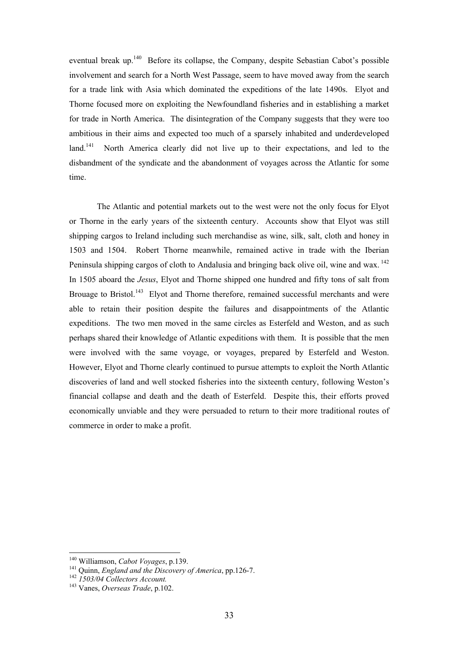eventual break up[.140](#page-32-0) Before its collapse, the Company, despite Sebastian Cabot's possible involvement and search for a North West Passage, seem to have moved away from the search for a trade link with Asia which dominated the expeditions of the late 1490s. Elyot and Thorne focused more on exploiting the Newfoundland fisheries and in establishing a market for trade in North America. The disintegration of the Company suggests that they were too ambitious in their aims and expected too much of a sparsely inhabited and underdeveloped land.<sup>141</sup> North America clearly did not live up to their expectations, and led to the disbandment of the syndicate and the abandonment of voyages across the Atlantic for some time.

The Atlantic and potential markets out to the west were not the only focus for Elyot or Thorne in the early years of the sixteenth century. Accounts show that Elyot was still shipping cargos to Ireland including such merchandise as wine, silk, salt, cloth and honey in 1503 and 1504. Robert Thorne meanwhile, remained active in trade with the Iberian Peninsula shipping cargos of cloth to Andalusia and bringing back olive oil, wine and wax. <sup>142</sup> In 1505 aboard the *Jesus*, Elyot and Thorne shipped one hundred and fifty tons of salt from Brouage to Bristol.<sup>143</sup> Elyot and Thorne therefore, remained successful merchants and were able to retain their position despite the failures and disappointments of the Atlantic expeditions. The two men moved in the same circles as Esterfeld and Weston, and as such perhaps shared their knowledge of Atlantic expeditions with them. It is possible that the men were involved with the same voyage, or voyages, prepared by Esterfeld and Weston. However, Elyot and Thorne clearly continued to pursue attempts to exploit the North Atlantic discoveries of land and well stocked fisheries into the sixteenth century, following Weston's financial collapse and death and the death of Esterfeld. Despite this, their efforts proved economically unviable and they were persuaded to return to their more traditional routes of commerce in order to make a profit.

<span id="page-32-0"></span><sup>&</sup>lt;sup>140</sup> Williamson, Cabot Voyages, p.139.

<span id="page-32-1"></span><sup>&</sup>lt;sup>141</sup> Quinn, *England and the Discovery of America*, pp.126-7.<br><sup>142</sup> *1503/04 Collectors Account.* <sup>143</sup> Vanes, *Overseas Trade*, p.102.

<span id="page-32-2"></span>

<span id="page-32-3"></span>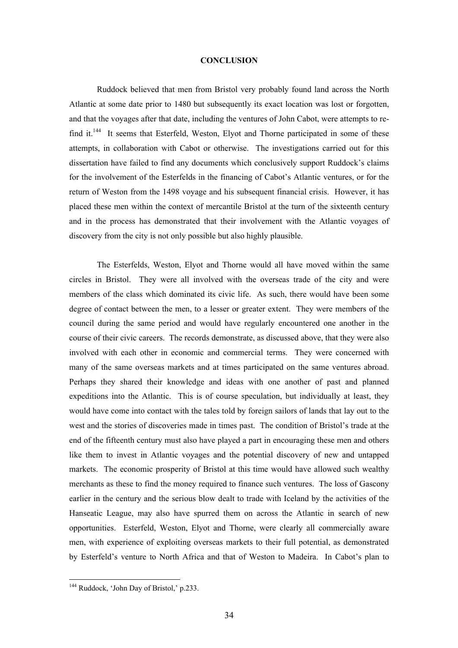## **CONCLUSION**

Ruddock believed that men from Bristol very probably found land across the North Atlantic at some date prior to 1480 but subsequently its exact location was lost or forgotten, and that the voyages after that date, including the ventures of John Cabot, were attempts to refind it.<sup>144</sup> It seems that Esterfeld, Weston, Elyot and Thorne participated in some of these attempts, in collaboration with Cabot or otherwise. The investigations carried out for this dissertation have failed to find any documents which conclusively support Ruddock's claims for the involvement of the Esterfelds in the financing of Cabot's Atlantic ventures, or for the return of Weston from the 1498 voyage and his subsequent financial crisis. However, it has placed these men within the context of mercantile Bristol at the turn of the sixteenth century and in the process has demonstrated that their involvement with the Atlantic voyages of discovery from the city is not only possible but also highly plausible.

The Esterfelds, Weston, Elyot and Thorne would all have moved within the same circles in Bristol. They were all involved with the overseas trade of the city and were members of the class which dominated its civic life. As such, there would have been some degree of contact between the men, to a lesser or greater extent. They were members of the council during the same period and would have regularly encountered one another in the course of their civic careers. The records demonstrate, as discussed above, that they were also involved with each other in economic and commercial terms. They were concerned with many of the same overseas markets and at times participated on the same ventures abroad. Perhaps they shared their knowledge and ideas with one another of past and planned expeditions into the Atlantic. This is of course speculation, but individually at least, they would have come into contact with the tales told by foreign sailors of lands that lay out to the west and the stories of discoveries made in times past. The condition of Bristol's trade at the end of the fifteenth century must also have played a part in encouraging these men and others like them to invest in Atlantic voyages and the potential discovery of new and untapped markets. The economic prosperity of Bristol at this time would have allowed such wealthy merchants as these to find the money required to finance such ventures. The loss of Gascony earlier in the century and the serious blow dealt to trade with Iceland by the activities of the Hanseatic League, may also have spurred them on across the Atlantic in search of new opportunities. Esterfeld, Weston, Elyot and Thorne, were clearly all commercially aware men, with experience of exploiting overseas markets to their full potential, as demonstrated by Esterfeld's venture to North Africa and that of Weston to Madeira. In Cabot's plan to

<span id="page-33-0"></span><sup>&</sup>lt;sup>144</sup> Ruddock, 'John Day of Bristol,' p.233.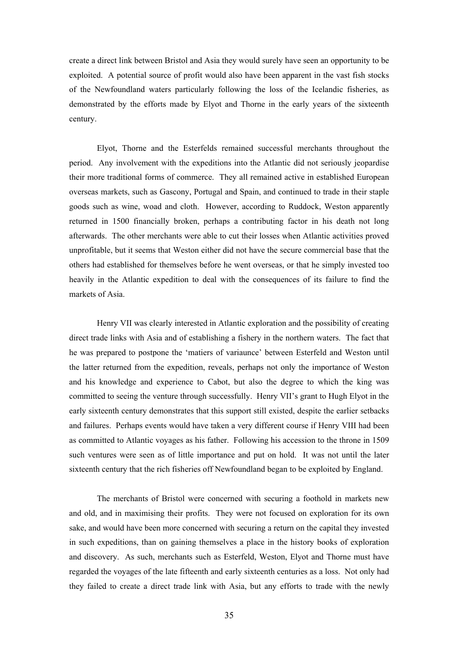create a direct link between Bristol and Asia they would surely have seen an opportunity to be exploited. A potential source of profit would also have been apparent in the vast fish stocks of the Newfoundland waters particularly following the loss of the Icelandic fisheries, as demonstrated by the efforts made by Elyot and Thorne in the early years of the sixteenth century.

Elyot, Thorne and the Esterfelds remained successful merchants throughout the period. Any involvement with the expeditions into the Atlantic did not seriously jeopardise their more traditional forms of commerce. They all remained active in established European overseas markets, such as Gascony, Portugal and Spain, and continued to trade in their staple goods such as wine, woad and cloth. However, according to Ruddock, Weston apparently returned in 1500 financially broken, perhaps a contributing factor in his death not long afterwards. The other merchants were able to cut their losses when Atlantic activities proved unprofitable, but it seems that Weston either did not have the secure commercial base that the others had established for themselves before he went overseas, or that he simply invested too heavily in the Atlantic expedition to deal with the consequences of its failure to find the markets of Asia.

Henry VII was clearly interested in Atlantic exploration and the possibility of creating direct trade links with Asia and of establishing a fishery in the northern waters. The fact that he was prepared to postpone the 'matiers of variaunce' between Esterfeld and Weston until the latter returned from the expedition, reveals, perhaps not only the importance of Weston and his knowledge and experience to Cabot, but also the degree to which the king was committed to seeing the venture through successfully. Henry VII's grant to Hugh Elyot in the early sixteenth century demonstrates that this support still existed, despite the earlier setbacks and failures. Perhaps events would have taken a very different course if Henry VIII had been as committed to Atlantic voyages as his father. Following his accession to the throne in 1509 such ventures were seen as of little importance and put on hold. It was not until the later sixteenth century that the rich fisheries off Newfoundland began to be exploited by England.

The merchants of Bristol were concerned with securing a foothold in markets new and old, and in maximising their profits. They were not focused on exploration for its own sake, and would have been more concerned with securing a return on the capital they invested in such expeditions, than on gaining themselves a place in the history books of exploration and discovery. As such, merchants such as Esterfeld, Weston, Elyot and Thorne must have regarded the voyages of the late fifteenth and early sixteenth centuries as a loss. Not only had they failed to create a direct trade link with Asia, but any efforts to trade with the newly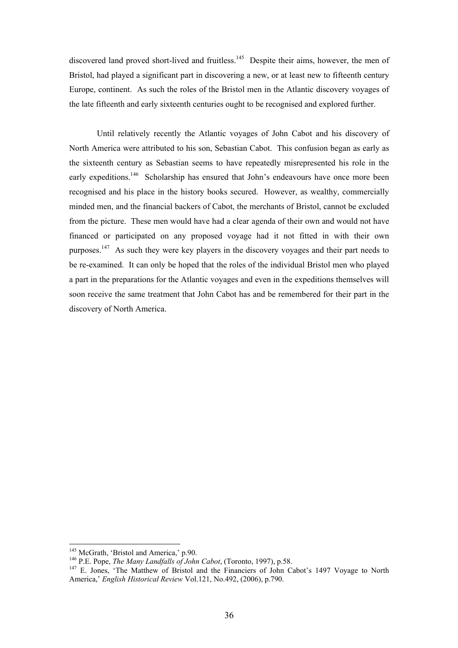discovered land proved short-lived and fruitless.<sup>145</sup> Despite their aims, however, the men of Bristol, had played a significant part in discovering a new, or at least new to fifteenth century Europe, continent. As such the roles of the Bristol men in the Atlantic discovery voyages of the late fifteenth and early sixteenth centuries ought to be recognised and explored further.

Until relatively recently the Atlantic voyages of John Cabot and his discovery of North America were attributed to his son, Sebastian Cabot. This confusion began as early as the sixteenth century as Sebastian seems to have repeatedly misrepresented his role in the early expeditions.<sup>146</sup> Scholarship has ensured that John's endeavours have once more been recognised and his place in the history books secured. However, as wealthy, commercially minded men, and the financial backers of Cabot, the merchants of Bristol, cannot be excluded from the picture. These men would have had a clear agenda of their own and would not have financed or participated on any proposed voyage had it not fitted in with their own purposes.<sup>147</sup> As such they were key players in the discovery voyages and their part needs to be re-examined. It can only be hoped that the roles of the individual Bristol men who played a part in the preparations for the Atlantic voyages and even in the expeditions themselves will soon receive the same treatment that John Cabot has and be remembered for their part in the discovery of North America.

<span id="page-35-0"></span>

<span id="page-35-2"></span><span id="page-35-1"></span>

<sup>&</sup>lt;sup>145</sup> McGrath, 'Bristol and America,' p.90.<br><sup>146</sup> P.E. Pope, *The Many Landfalls of John Cabot*, (Toronto, 1997), p.58.<br><sup>147</sup> E. Jones, 'The Matthew of Bristol and the Financiers of John Cabot's 1497 Voyage to North America,' *English Historical Review* Vol.121, No.492, (2006), p.790.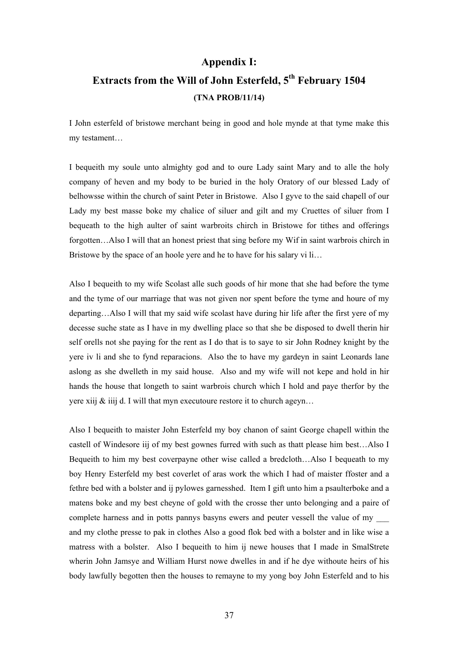## **Appendix I:**

# **Extracts from the Will of John Esterfeld, 5th February 1504 (TNA PROB/11/14)**

I John esterfeld of bristowe merchant being in good and hole mynde at that tyme make this my testament…

I bequeith my soule unto almighty god and to oure Lady saint Mary and to alle the holy company of heven and my body to be buried in the holy Oratory of our blessed Lady of belhowsse within the church of saint Peter in Bristowe. Also I gyve to the said chapell of our Lady my best masse boke my chalice of siluer and gilt and my Cruettes of siluer from I bequeath to the high aulter of saint warbroits chirch in Bristowe for tithes and offerings forgotten…Also I will that an honest priest that sing before my Wif in saint warbrois chirch in Bristowe by the space of an hoole yere and he to have for his salary vi li...

Also I bequeith to my wife Scolast alle such goods of hir mone that she had before the tyme and the tyme of our marriage that was not given nor spent before the tyme and houre of my departing…Also I will that my said wife scolast have during hir life after the first yere of my decesse suche state as I have in my dwelling place so that she be disposed to dwell therin hir self orells not she paying for the rent as I do that is to saye to sir John Rodney knight by the yere iv li and she to fynd reparacions. Also the to have my gardeyn in saint Leonards lane aslong as she dwelleth in my said house. Also and my wife will not kepe and hold in hir hands the house that longeth to saint warbrois church which I hold and paye therfor by the yere xiij & iiij d. I will that myn executoure restore it to church ageyn…

Also I bequeith to maister John Esterfeld my boy chanon of saint George chapell within the castell of Windesore iij of my best gownes furred with such as thatt please him best…Also I Bequeith to him my best coverpayne other wise called a bredcloth…Also I bequeath to my boy Henry Esterfeld my best coverlet of aras work the which I had of maister ffoster and a fethre bed with a bolster and ij pylowes garnesshed. Item I gift unto him a psaulterboke and a matens boke and my best cheyne of gold with the crosse ther unto belonging and a paire of complete harness and in potts pannys basyns ewers and peuter vessell the value of my \_\_\_ and my clothe presse to pak in clothes Also a good flok bed with a bolster and in like wise a matress with a bolster. Also I bequeith to him ij newe houses that I made in SmalStrete wherin John Jamsye and William Hurst nowe dwelles in and if he dye withoute heirs of his body lawfully begotten then the houses to remayne to my yong boy John Esterfeld and to his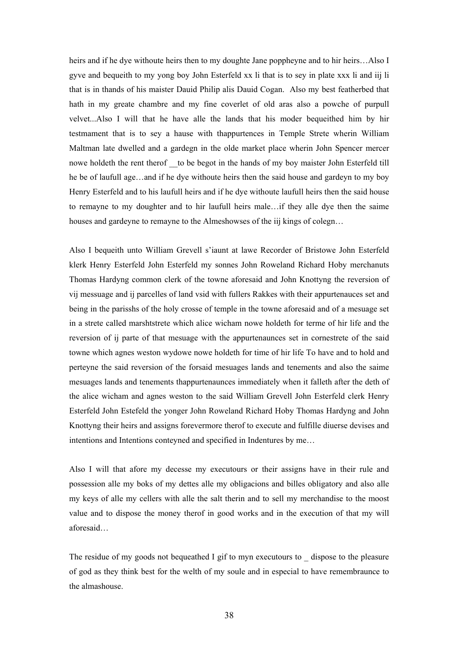heirs and if he dye withoute heirs then to my doughte Jane poppheyne and to hir heirs…Also I gyve and bequeith to my yong boy John Esterfeld xx li that is to sey in plate xxx li and iij li that is in thands of his maister Dauid Philip alis Dauid Cogan. Also my best featherbed that hath in my greate chambre and my fine coverlet of old aras also a powche of purpull velvet...Also I will that he have alle the lands that his moder bequeithed him by hir testmament that is to sey a hause with thappurtences in Temple Strete wherin William Maltman late dwelled and a gardegn in the olde market place wherin John Spencer mercer nowe holdeth the rent therof to be begot in the hands of my boy maister John Esterfeld till he be of laufull age…and if he dye withoute heirs then the said house and gardeyn to my boy Henry Esterfeld and to his laufull heirs and if he dye withoute laufull heirs then the said house to remayne to my doughter and to hir laufull heirs male…if they alle dye then the saime houses and gardeyne to remayne to the Almeshowses of the iij kings of colegn…

Also I bequeith unto William Grevell s'iaunt at lawe Recorder of Bristowe John Esterfeld klerk Henry Esterfeld John Esterfeld my sonnes John Roweland Richard Hoby merchanuts Thomas Hardyng common clerk of the towne aforesaid and John Knottyng the reversion of vij messuage and ij parcelles of land vsid with fullers Rakkes with their appurtenauces set and being in the parisshs of the holy crosse of temple in the towne aforesaid and of a mesuage set in a strete called marshtstrete which alice wicham nowe holdeth for terme of hir life and the reversion of ij parte of that mesuage with the appurtenaunces set in cornestrete of the said towne which agnes weston wydowe nowe holdeth for time of hir life To have and to hold and perteyne the said reversion of the forsaid mesuages lands and tenements and also the saime mesuages lands and tenements thappurtenaunces immediately when it falleth after the deth of the alice wicham and agnes weston to the said William Grevell John Esterfeld clerk Henry Esterfeld John Estefeld the yonger John Roweland Richard Hoby Thomas Hardyng and John Knottyng their heirs and assigns forevermore therof to execute and fulfille diuerse devises and intentions and Intentions conteyned and specified in Indentures by me…

Also I will that afore my decesse my executours or their assigns have in their rule and possession alle my boks of my dettes alle my obligacions and billes obligatory and also alle my keys of alle my cellers with alle the salt therin and to sell my merchandise to the moost value and to dispose the money therof in good works and in the execution of that my will aforesaid…

The residue of my goods not bequeathed I gif to myn executours to \_ dispose to the pleasure of god as they think best for the welth of my soule and in especial to have remembraunce to the almashouse.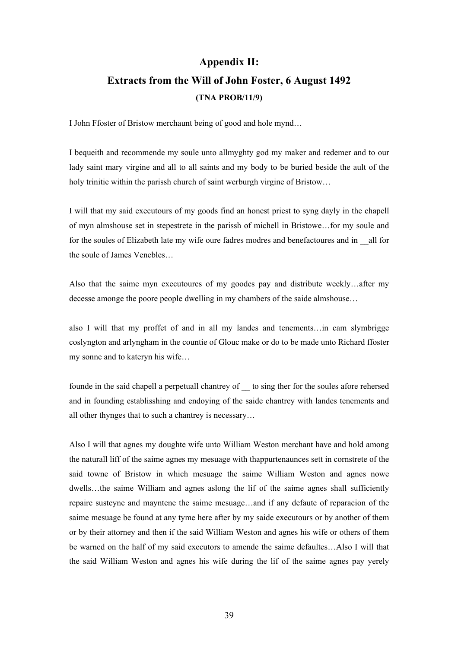## **Appendix II:**

## **Extracts from the Will of John Foster, 6 August 1492 (TNA PROB/11/9)**

I John Ffoster of Bristow merchaunt being of good and hole mynd…

I bequeith and recommende my soule unto allmyghty god my maker and redemer and to our lady saint mary virgine and all to all saints and my body to be buried beside the ault of the holy trinitie within the parissh church of saint werburgh virgine of Bristow…

I will that my said executours of my goods find an honest priest to syng dayly in the chapell of myn almshouse set in stepestrete in the parissh of michell in Bristowe…for my soule and for the soules of Elizabeth late my wife oure fadres modres and benefactoures and in \_\_all for the soule of James Venebles…

Also that the saime myn executoures of my goodes pay and distribute weekly…after my decesse amonge the poore people dwelling in my chambers of the saide almshouse…

also I will that my proffet of and in all my landes and tenements…in cam slymbrigge coslyngton and arlyngham in the countie of Glouc make or do to be made unto Richard ffoster my sonne and to kateryn his wife…

founde in the said chapell a perpetuall chantrey of \_\_ to sing ther for the soules afore rehersed and in founding establisshing and endoying of the saide chantrey with landes tenements and all other thynges that to such a chantrey is necessary…

Also I will that agnes my doughte wife unto William Weston merchant have and hold among the naturall liff of the saime agnes my mesuage with thappurtenaunces sett in cornstrete of the said towne of Bristow in which mesuage the saime William Weston and agnes nowe dwells…the saime William and agnes aslong the lif of the saime agnes shall sufficiently repaire susteyne and mayntene the saime mesuage…and if any defaute of reparacion of the saime mesuage be found at any tyme here after by my saide executours or by another of them or by their attorney and then if the said William Weston and agnes his wife or others of them be warned on the half of my said executors to amende the saime defaultes…Also I will that the said William Weston and agnes his wife during the lif of the saime agnes pay yerely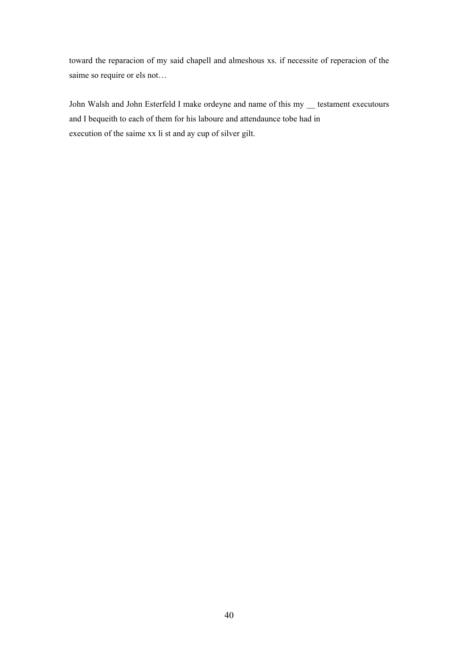toward the reparacion of my said chapell and almeshous xs. if necessite of reperacion of the saime so require or els not…

John Walsh and John Esterfeld I make ordeyne and name of this my \_\_ testament executours and I bequeith to each of them for his laboure and attendaunce tobe had in execution of the saime xx li st and ay cup of silver gilt.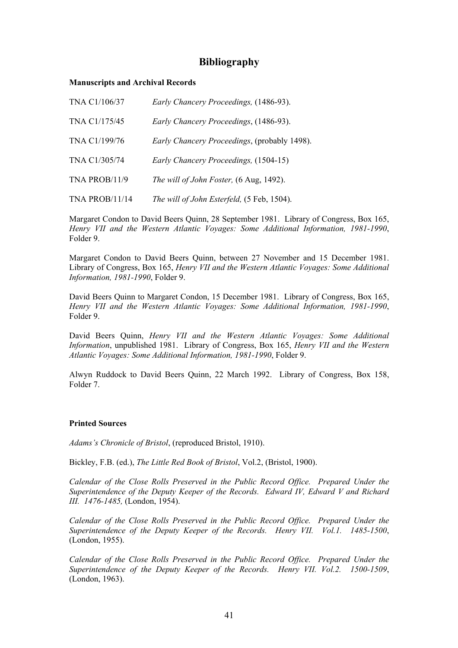## **Bibliography**

## **Manuscripts and Archival Records**

| TNA C1/106/37         | Early Chancery Proceedings, (1486-93).              |
|-----------------------|-----------------------------------------------------|
| TNA C1/175/45         | Early Chancery Proceedings, (1486-93).              |
| TNA C1/199/76         | <i>Early Chancery Proceedings, (probably 1498).</i> |
| TNA C1/305/74         | Early Chancery Proceedings, (1504-15)               |
| TNA PROB/11/9         | The will of John Foster, (6 Aug, 1492).             |
| <b>TNA PROB/11/14</b> | The will of John Esterfeld, (5 Feb, 1504).          |

Margaret Condon to David Beers Quinn, 28 September 1981. Library of Congress, Box 165, *Henry VII and the Western Atlantic Voyages: Some Additional Information, 1981-1990*, Folder 9.

Margaret Condon to David Beers Quinn, between 27 November and 15 December 1981. Library of Congress, Box 165, *Henry VII and the Western Atlantic Voyages: Some Additional Information, 1981-1990*, Folder 9.

David Beers Quinn to Margaret Condon, 15 December 1981. Library of Congress, Box 165, *Henry VII and the Western Atlantic Voyages: Some Additional Information, 1981-1990*, Folder 9.

David Beers Quinn, *Henry VII and the Western Atlantic Voyages: Some Additional Information*, unpublished 1981. Library of Congress, Box 165, *Henry VII and the Western Atlantic Voyages: Some Additional Information, 1981-1990*, Folder 9.

Alwyn Ruddock to David Beers Quinn, 22 March 1992. Library of Congress, Box 158, Folder 7.

## **Printed Sources**

*Adams's Chronicle of Bristol*, (reproduced Bristol, 1910).

Bickley, F.B. (ed.), *The Little Red Book of Bristol*, Vol.2, (Bristol, 1900).

*Calendar of the Close Rolls Preserved in the Public Record Office. Prepared Under the Superintendence of the Deputy Keeper of the Records. Edward IV, Edward V and Richard III. 1476-1485,* (London, 1954).

*Calendar of the Close Rolls Preserved in the Public Record Office. Prepared Under the Superintendence of the Deputy Keeper of the Records. Henry VII. Vol.1. 1485-1500*, (London, 1955).

*Calendar of the Close Rolls Preserved in the Public Record Office. Prepared Under the Superintendence of the Deputy Keeper of the Records. Henry VII. Vol.2. 1500-1509*, (London, 1963).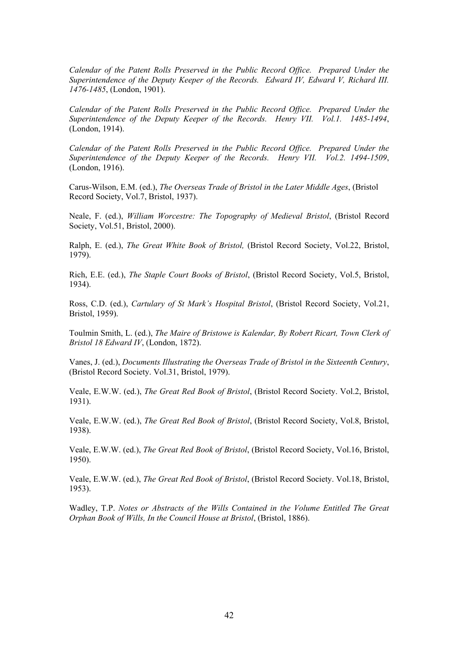*Calendar of the Patent Rolls Preserved in the Public Record Office. Prepared Under the Superintendence of the Deputy Keeper of the Records. Edward IV, Edward V, Richard III. 1476-1485*, (London, 1901).

*Calendar of the Patent Rolls Preserved in the Public Record Office. Prepared Under the Superintendence of the Deputy Keeper of the Records. Henry VII. Vol.1. 1485-1494*, (London, 1914).

*Calendar of the Patent Rolls Preserved in the Public Record Office. Prepared Under the Superintendence of the Deputy Keeper of the Records. Henry VII. Vol.2. 1494-1509*, (London, 1916).

Carus-Wilson, E.M. (ed.), *The Overseas Trade of Bristol in the Later Middle Ages*, (Bristol Record Society, Vol.7, Bristol, 1937).

Neale, F. (ed.), *William Worcestre: The Topography of Medieval Bristol*, (Bristol Record Society, Vol.51, Bristol, 2000).

Ralph, E. (ed.), *The Great White Book of Bristol,* (Bristol Record Society, Vol.22, Bristol, 1979).

Rich, E.E. (ed.), *The Staple Court Books of Bristol*, (Bristol Record Society, Vol.5, Bristol, 1934).

Ross, C.D. (ed.), *Cartulary of St Mark's Hospital Bristol*, (Bristol Record Society, Vol.21, Bristol, 1959).

Toulmin Smith, L. (ed.), *The Maire of Bristowe is Kalendar, By Robert Ricart, Town Clerk of Bristol 18 Edward IV*, (London, 1872).

Vanes, J. (ed.), *Documents Illustrating the Overseas Trade of Bristol in the Sixteenth Century*, (Bristol Record Society. Vol.31, Bristol, 1979).

Veale, E.W.W. (ed.), *The Great Red Book of Bristol*, (Bristol Record Society. Vol.2, Bristol, 1931).

Veale, E.W.W. (ed.), *The Great Red Book of Bristol*, (Bristol Record Society, Vol.8, Bristol, 1938).

Veale, E.W.W. (ed.), *The Great Red Book of Bristol*, (Bristol Record Society, Vol.16, Bristol, 1950).

Veale, E.W.W. (ed.), *The Great Red Book of Bristol*, (Bristol Record Society. Vol.18, Bristol, 1953).

Wadley, T.P. *Notes or Abstracts of the Wills Contained in the Volume Entitled The Great Orphan Book of Wills, In the Council House at Bristol*, (Bristol, 1886).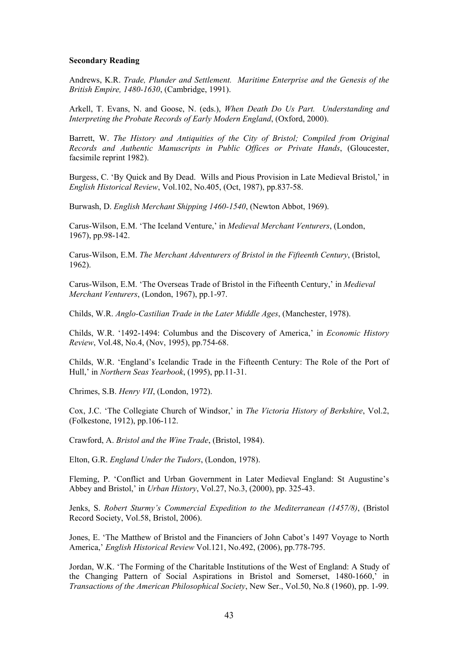## **Secondary Reading**

Andrews, K.R. *Trade, Plunder and Settlement. Maritime Enterprise and the Genesis of the British Empire, 1480-1630*, (Cambridge, 1991).

Arkell, T. Evans, N. and Goose, N. (eds.), *When Death Do Us Part. Understanding and Interpreting the Probate Records of Early Modern England*, (Oxford, 2000).

Barrett, W. *The History and Antiquities of the City of Bristol; Compiled from Original Records and Authentic Manuscripts in Public Offices or Private Hands*, (Gloucester, facsimile reprint 1982).

Burgess, C. 'By Quick and By Dead. Wills and Pious Provision in Late Medieval Bristol,' in *English Historical Review*, Vol.102, No.405, (Oct, 1987), pp.837-58.

Burwash, D. *English Merchant Shipping 1460-1540*, (Newton Abbot, 1969).

Carus-Wilson, E.M. 'The Iceland Venture,' in *Medieval Merchant Venturers*, (London, 1967), pp.98-142.

Carus-Wilson, E.M. *The Merchant Adventurers of Bristol in the Fifteenth Century*, (Bristol, 1962).

Carus-Wilson, E.M. 'The Overseas Trade of Bristol in the Fifteenth Century,' in *Medieval Merchant Venturers*, (London, 1967), pp.1-97.

Childs, W.R. *Anglo-Castilian Trade in the Later Middle Ages*, (Manchester, 1978).

Childs, W.R. '1492-1494: Columbus and the Discovery of America,' in *Economic History Review*, Vol.48, No.4, (Nov, 1995), pp.754-68.

Childs, W.R. 'England's Icelandic Trade in the Fifteenth Century: The Role of the Port of Hull,' in *Northern Seas Yearbook*, (1995), pp.11-31.

Chrimes, S.B. *Henry VII*, (London, 1972).

Cox, J.C. 'The Collegiate Church of Windsor,' in *The Victoria History of Berkshire*, Vol.2, (Folkestone, 1912), pp.106-112.

Crawford, A. *Bristol and the Wine Trade*, (Bristol, 1984).

Elton, G.R. *England Under the Tudors*, (London, 1978).

Fleming, P. 'Conflict and Urban Government in Later Medieval England: St Augustine's Abbey and Bristol,' in *Urban History*, Vol.27, No.3, (2000), pp. 325-43.

Jenks, S. *Robert Sturmy's Commercial Expedition to the Mediterranean (1457/8)*, (Bristol Record Society, Vol.58, Bristol, 2006).

Jones, E. 'The Matthew of Bristol and the Financiers of John Cabot's 1497 Voyage to North America,' *English Historical Review* Vol.121, No.492, (2006), pp.778-795.

Jordan, W.K. 'The Forming of the Charitable Institutions of the West of England: A Study of the Changing Pattern of Social Aspirations in Bristol and Somerset, 1480-1660,' in *Transactions of the American Philosophical Society*, New Ser., Vol.50, No.8 (1960), pp. 1-99.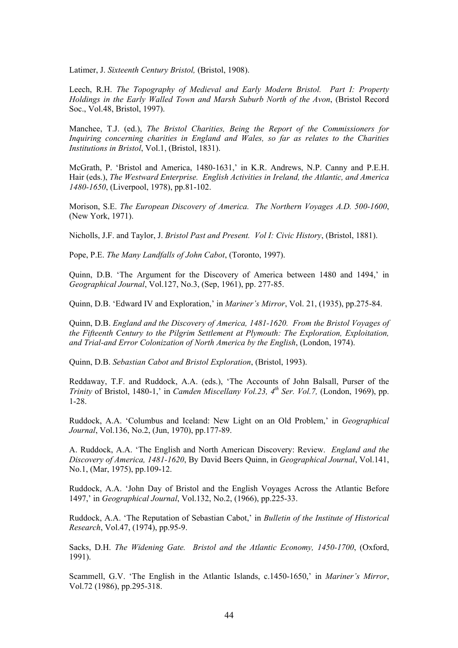Latimer, J. *Sixteenth Century Bristol,* (Bristol, 1908).

Leech, R.H. *The Topography of Medieval and Early Modern Bristol. Part I: Property Holdings in the Early Walled Town and Marsh Suburb North of the Avon*, (Bristol Record Soc., Vol.48, Bristol, 1997).

Manchee, T.J. (ed.), *The Bristol Charities, Being the Report of the Commissioners for Inquiring concerning charities in England and Wales, so far as relates to the Charities Institutions in Bristol*, Vol.1, (Bristol, 1831).

McGrath, P. 'Bristol and America, 1480-1631,' in K.R. Andrews, N.P. Canny and P.E.H. Hair (eds.), *The Westward Enterprise. English Activities in Ireland, the Atlantic, and America 1480-1650*, (Liverpool, 1978), pp.81-102.

Morison, S.E. *The European Discovery of America. The Northern Voyages A.D. 500-1600*, (New York, 1971).

Nicholls, J.F. and Taylor, J. *Bristol Past and Present. Vol I: Civic History*, (Bristol, 1881).

Pope, P.E. *The Many Landfalls of John Cabot*, (Toronto, 1997).

Quinn, D.B. 'The Argument for the Discovery of America between 1480 and 1494,' in *Geographical Journal*, Vol.127, No.3, (Sep, 1961), pp. 277-85.

Quinn, D.B. 'Edward IV and Exploration,' in *Mariner's Mirror*, Vol. 21, (1935), pp.275-84.

Quinn, D.B. *England and the Discovery of America, 1481-1620. From the Bristol Voyages of the Fifteenth Century to the Pilgrim Settlement at Plymouth: The Exploration, Exploitation, and Trial-and Error Colonization of North America by the English*, (London, 1974).

Quinn, D.B. *Sebastian Cabot and Bristol Exploration*, (Bristol, 1993).

Reddaway, T.F. and Ruddock, A.A. (eds.), 'The Accounts of John Balsall, Purser of the *Trinity* of Bristol, 1480-1,' in *Camden Miscellany Vol.23, 4th Ser. Vol.7,* (London, 1969), pp. 1-28.

Ruddock, A.A. 'Columbus and Iceland: New Light on an Old Problem,' in *Geographical Journal*, Vol.136, No.2, (Jun, 1970), pp.177-89.

A. Ruddock, A.A. 'The English and North American Discovery: Review. *England and the Discovery of America, 1481-1620*, By David Beers Quinn, in *Geographical Journal*, Vol.141, No.1, (Mar, 1975), pp.109-12.

Ruddock, A.A. 'John Day of Bristol and the English Voyages Across the Atlantic Before 1497,' in *Geographical Journal*, Vol.132, No.2, (1966), pp.225-33.

Ruddock, A.A. 'The Reputation of Sebastian Cabot,' in *Bulletin of the Institute of Historical Research*, Vol.47, (1974), pp.95-9.

Sacks, D.H. *The Widening Gate. Bristol and the Atlantic Economy, 1450-1700*, (Oxford, 1991).

Scammell, G.V. 'The English in the Atlantic Islands, c.1450-1650,' in *Mariner's Mirror*, Vol.72 (1986), pp.295-318.